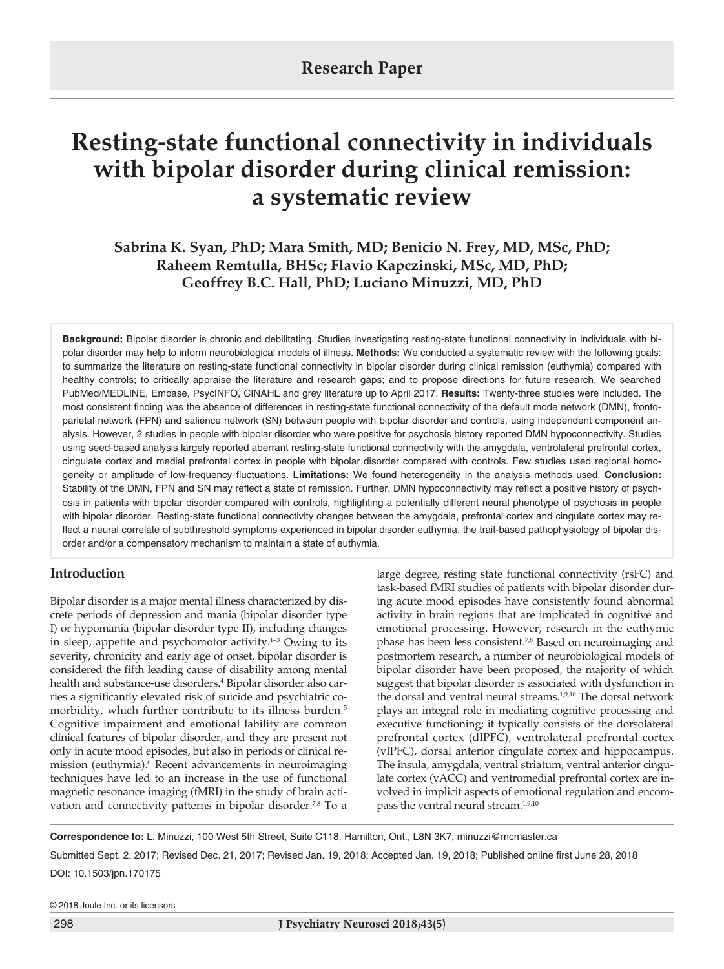# **Resting-state functional connectivity in individuals with bipolar disorder during clinical remission: a systematic review**

## **Sabrina K. Syan, PhD; Mara Smith, MD; Benicio N. Frey, MD, MSc, PhD; Raheem Remtulla, BHSc; Flavio Kapczinski, MSc, MD, PhD; Geoffrey B.C. Hall, PhD; Luciano Minuzzi, MD, PhD**

**Background:** Bipolar disorder is chronic and debilitating. Studies investigating resting-state functional connectivity in individuals with bipolar disorder may help to inform neurobiological models of illness. **Methods:** We conducted a systematic review with the following goals: to summarize the literature on resting-state functional connectivity in bipolar disorder during clinical remission (euthymia) compared with healthy controls; to critically appraise the literature and research gaps; and to propose directions for future research. We searched PubMed/MEDLINE, Embase, PsycINFO, CINAHL and grey literature up to April 2017. **Results:** Twenty-three studies were included. The most consistent finding was the absence of differences in resting-state functional connectivity of the default mode network (DMN), frontoparietal network (FPN) and salience network (SN) between people with bipolar disorder and controls, using independent component analysis. However, 2 studies in people with bipolar disorder who were positive for psychosis history reported DMN hypoconnectivity. Studies using seed-based analysis largely reported aberrant resting-state functional connectivity with the amygdala, ventrolateral prefrontal cortex, cingulate cortex and medial prefrontal cortex in people with bipolar disorder compared with controls. Few studies used regional homogeneity or amplitude of low-frequency fluctuations. **Limitations:** We found heterogeneity in the analysis methods used. **Conclusion:** Stability of the DMN, FPN and SN may reflect a state of remission. Further, DMN hypoconnectivity may reflect a positive history of psychosis in patients with bipolar disorder compared with controls, highlighting a potentially different neural phenotype of psychosis in people with bipolar disorder. Resting-state functional connectivity changes between the amygdala, prefrontal cortex and cingulate cortex may reflect a neural correlate of subthreshold symptoms experienced in bipolar disorder euthymia, the trait-based pathophysiology of bipolar disorder and/or a compensatory mechanism to maintain a state of euthymia.

## **Introduction**

Bipolar disorder is a major mental illness characterized by discrete periods of depression and mania (bipolar disorder type I) or hypomania (bipolar disorder type II), including changes in sleep, appetite and psychomotor activity. $1-3$  Owing to its severity, chronicity and early age of onset, bipolar disorder is considered the fifth leading cause of disability among mental health and substance-use disorders.4 Bipolar disorder also carries a significantly elevated risk of suicide and psychiatric comorbidity, which further contribute to its illness burden.<sup>5</sup> Cognitive impairment and emotional lability are common clinical features of bipolar disorder, and they are present not only in acute mood episodes, but also in periods of clinical remission (euthymia).<sup>6</sup> Recent advancements in neuroimaging techniques have led to an increase in the use of functional magnetic resonance imaging (fMRI) in the study of brain activation and connectivity patterns in bipolar disorder.<sup>7,8</sup> To a

large degree, resting state functional connectivity (rsFC) and task-based fMRI studies of patients with bipolar disorder during acute mood episodes have consistently found abnormal activity in brain regions that are implicated in cognitive and emotional processing. However, research in the euthymic phase has been less consistent.7,8 Based on neuroimaging and postmortem research, a number of neurobiological models of bipolar disorder have been proposed, the majority of which suggest that bipolar disorder is associated with dysfunction in the dorsal and ventral neural streams.<sup>1,9,10</sup> The dorsal network plays an integral role in mediating cognitive processing and executive functioning; it typically consists of the dorsolateral prefrontal cortex (dlPFC), ventrolateral prefrontal cortex (vlPFC), dorsal anterior cingulate cortex and hippocampus. The insula, amygdala, ventral striatum, ventral anterior cingulate cortex (vACC) and ventromedial prefrontal cortex are involved in implicit aspects of emotional regulation and encompass the ventral neural stream.1,9,10

**Correspondence to:** L. Minuzzi, 100 West 5th Street, Suite C118, Hamilton, Ont., L8N 3K7; minuzzi@mcmaster.ca

Submitted Sept. 2, 2017; Revised Dec. 21, 2017; Revised Jan. 19, 2018; Accepted Jan. 19, 2018; Published online first June 28, 2018 DOI: 10.1503/jpn.170175

© 2018 Joule Inc. or its licensors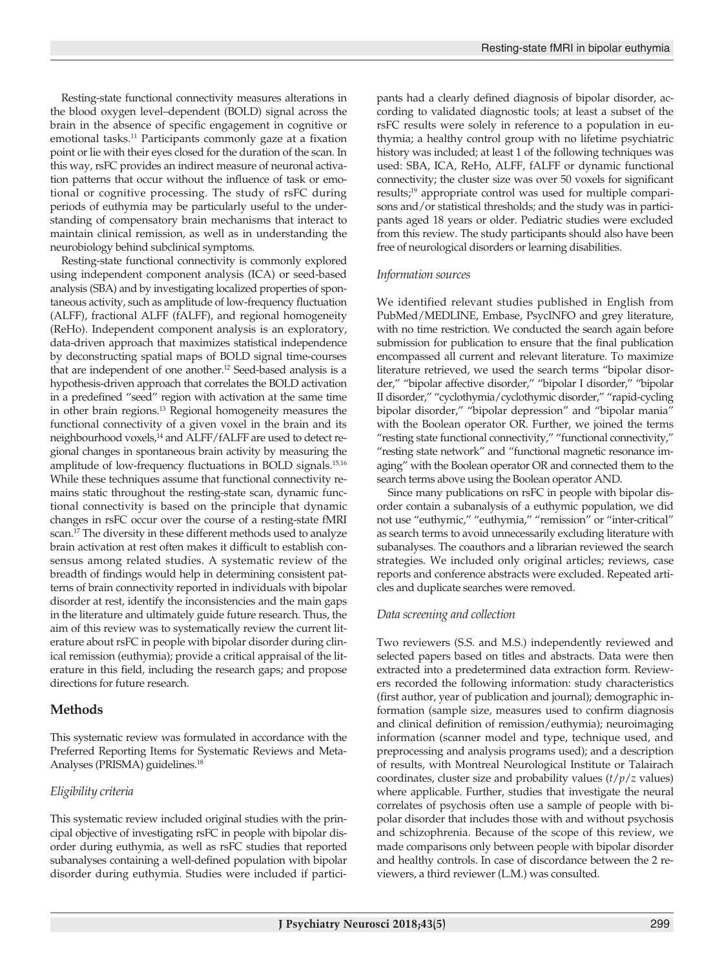Resting-state functional connectivity measures alterations in the blood oxygen level–dependent (BOLD) signal across the brain in the absence of specific engagement in cognitive or emotional tasks.<sup>11</sup> Participants commonly gaze at a fixation point or lie with their eyes closed for the duration of the scan. In this way, rsFC provides an indirect measure of neuronal activation patterns that occur without the influence of task or emotional or cognitive processing. The study of rsFC during periods of euthymia may be particularly useful to the understanding of compensatory brain mechanisms that interact to maintain clinical remission, as well as in understanding the neurobiology behind subclinical symptoms.

Resting-state functional connectivity is commonly explored using independent component analysis (ICA) or seed-based analysis (SBA) and by investigating localized properties of spontaneous activity, such as amplitude of low-frequency fluctuation (ALFF), fractional ALFF (fALFF), and regional homogeneity (ReHo). Independent component analysis is an exploratory, data-driven approach that maximizes statistical independence by deconstructing spatial maps of BOLD signal time-courses that are independent of one another.<sup>12</sup> Seed-based analysis is a hypothesis-driven approach that correlates the BOLD activation in a predefined "seed" region with activation at the same time in other brain regions.13 Regional homogeneity measures the functional connectivity of a given voxel in the brain and its neighbourhood voxels,<sup>14</sup> and ALFF/fALFF are used to detect regional changes in spontaneous brain activity by measuring the amplitude of low-frequency fluctuations in BOLD signals.15,16 While these techniques assume that functional connectivity remains static throughout the resting-state scan, dynamic functional connectivity is based on the principle that dynamic changes in rsFC occur over the course of a resting-state fMRI scan.17 The diversity in these different methods used to analyze brain activation at rest often makes it difficult to establish consensus among related studies. A systematic review of the breadth of findings would help in determining consistent patterns of brain connectivity reported in individuals with bipolar disorder at rest, identify the inconsistencies and the main gaps in the literature and ultimately guide future research. Thus, the aim of this review was to systematically review the current literature about rsFC in people with bipolar disorder during clinical remission (euthymia); provide a critical appraisal of the literature in this field, including the research gaps; and propose directions for future research.

#### **Methods**

This systematic review was formulated in accordance with the Preferred Reporting Items for Systematic Reviews and Meta-Analyses (PRISMA) guidelines.<sup>18</sup>

## *Eligibility criteria*

This systematic review included original studies with the principal objective of investigating rsFC in people with bipolar disorder during euthymia, as well as rsFC studies that reported subanalyses containing a well-defined population with bipolar disorder during euthymia. Studies were included if participants had a clearly defined diagnosis of bipolar disorder, according to validated diagnostic tools; at least a subset of the rsFC results were solely in reference to a population in euthymia; a healthy control group with no lifetime psychiatric history was included; at least 1 of the following techniques was used: SBA, ICA, ReHo, ALFF, fALFF or dynamic functional connectivity; the cluster size was over 50 voxels for significant results;<sup>19</sup> appropriate control was used for multiple comparisons and/or statistical thresholds; and the study was in participants aged 18 years or older. Pediatric studies were excluded from this review. The study participants should also have been free of neurological disorders or learning disabilities.

#### *Information sources*

We identified relevant studies published in English from PubMed/MEDLINE, Embase, PsycINFO and grey literature, with no time restriction. We conducted the search again before submission for publication to ensure that the final publication encompassed all current and relevant literature. To maximize literature retrieved, we used the search terms "bipolar disorder," "bipolar affective disorder," "bipolar I disorder," "bipolar II disorder," "cyclothymia/cyclothymic disorder," "rapid-cycling bipolar disorder," "bipolar depression" and "bipolar mania" with the Boolean operator OR. Further, we joined the terms "resting state functional connectivity," "functional connectivity," "resting state network" and "functional magnetic resonance imaging" with the Boolean operator OR and connected them to the search terms above using the Boolean operator AND.

Since many publications on rsFC in people with bipolar disorder contain a subanalysis of a euthymic population, we did not use "euthymic," "euthymia," "remission" or "inter-critical" as search terms to avoid unnecessarily excluding literature with subanalyses. The coauthors and a librarian reviewed the search strategies. We included only original articles; reviews, case reports and conference abstracts were excluded. Repeated articles and duplicate searches were removed.

#### *Data screening and collection*

Two reviewers (S.S. and M.S.) independently reviewed and selected papers based on titles and abstracts. Data were then extracted into a predetermined data extraction form. Reviewers recorded the following information: study characteristics (first author, year of publication and journal); demographic information (sample size, measures used to confirm diagnosis and clinical definition of remission/euthymia); neuroimaging information (scanner model and type, technique used, and preprocessing and analysis programs used); and a description of results, with Montreal Neurological Institute or Talairach coordinates, cluster size and probability values (*t*/*p*/*z* values) where applicable. Further, studies that investigate the neural correlates of psychosis often use a sample of people with bipolar disorder that includes those with and without psychosis and schizophrenia. Because of the scope of this review, we made comparisons only between people with bipolar disorder and healthy controls. In case of discordance between the 2 reviewers, a third reviewer (L.M.) was consulted.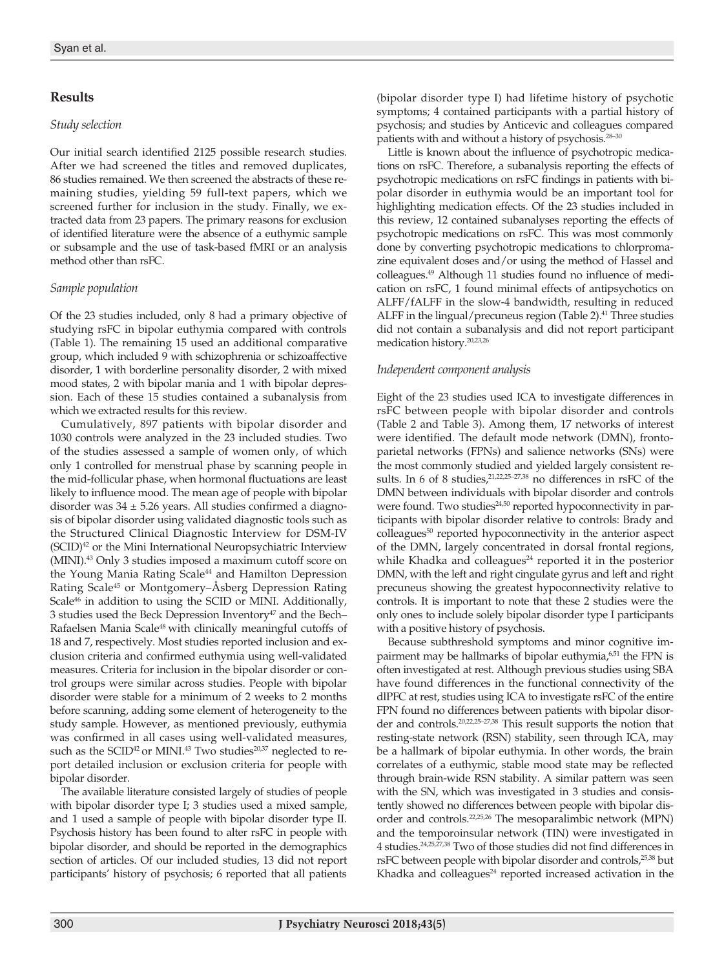### **Results**

#### *Study selection*

Our initial search identified 2125 possible research studies. After we had screened the titles and removed duplicates, 86 studies remained. We then screened the abstracts of these remaining studies, yielding 59 full-text papers, which we screened further for inclusion in the study. Finally, we extracted data from 23 papers. The primary reasons for exclusion of identified literature were the absence of a euthymic sample or subsample and the use of task-based fMRI or an analysis method other than rsFC.

#### *Sample population*

Of the 23 studies included, only 8 had a primary objective of studying rsFC in bipolar euthymia compared with controls (Table 1). The remaining 15 used an additional comparative group, which included 9 with schizophrenia or schizoaffective disorder, 1 with borderline personality disorder, 2 with mixed mood states, 2 with bipolar mania and 1 with bipolar depression. Each of these 15 studies contained a subanalysis from which we extracted results for this review.

Cumulatively, 897 patients with bipolar disorder and 1030 controls were analyzed in the 23 included studies. Two of the studies assessed a sample of women only, of which only 1 controlled for menstrual phase by scanning people in the mid-follicular phase, when hormonal fluctuations are least likely to influence mood. The mean age of people with bipolar disorder was  $34 \pm 5.26$  years. All studies confirmed a diagnosis of bipolar disorder using validated diagnostic tools such as the Structured Clinical Diagnostic Interview for DSM-IV  $(SCID)^{42}$  or the Mini International Neuropsychiatric Interview (MINI).43 Only 3 studies imposed a maximum cutoff score on the Young Mania Rating Scale<sup>44</sup> and Hamilton Depression Rating Scale45 or Montgomery–Åsberg Depression Rating Scale<sup>46</sup> in addition to using the SCID or MINI. Additionally, 3 studies used the Beck Depression Inventory $47$  and the Bech– Rafaelsen Mania Scale<sup>48</sup> with clinically meaningful cutoffs of 18 and 7, respectively. Most studies reported inclusion and exclusion criteria and confirmed euthymia using well-validated measures. Criteria for inclusion in the bipolar disorder or control groups were similar across studies. People with bipolar disorder were stable for a minimum of 2 weeks to 2 months before scanning, adding some element of heterogeneity to the study sample. However, as mentioned previously, euthymia was confirmed in all cases using well-validated measures, such as the SCID<sup>42</sup> or MINI.<sup>43</sup> Two studies<sup>20,37</sup> neglected to report detailed inclusion or exclusion criteria for people with bipolar disorder.

The available literature consisted largely of studies of people with bipolar disorder type I; 3 studies used a mixed sample, and 1 used a sample of people with bipolar disorder type II. Psychosis history has been found to alter rsFC in people with bipolar disorder, and should be reported in the demographics section of articles. Of our included studies, 13 did not report participants' history of psychosis; 6 reported that all patients

(bipolar disorder type I) had lifetime history of psychotic symptoms; 4 contained participants with a partial history of psychosis; and studies by Anticevic and colleagues compared patients with and without a history of psychosis.28–30

Little is known about the influence of psychotropic medications on rsFC. Therefore, a subanalysis reporting the effects of psychotropic medications on rsFC findings in patients with bipolar disorder in euthymia would be an important tool for highlighting medication effects. Of the 23 studies included in this review, 12 contained subanalyses reporting the effects of psychotropic medications on rsFC. This was most commonly done by converting psychotropic medications to chlorpromazine equivalent doses and/or using the method of Hassel and colleagues.49 Although 11 studies found no influence of medication on rsFC, 1 found minimal effects of antipsychotics on ALFF/fALFF in the slow-4 bandwidth, resulting in reduced ALFF in the lingual/precuneus region (Table 2). $41$  Three studies did not contain a subanalysis and did not report participant medication history.20,23,26

#### *Independent component analysis*

Eight of the 23 studies used ICA to investigate differences in rsFC between people with bipolar disorder and controls (Table 2 and Table 3). Among them, 17 networks of interest were identified. The default mode network (DMN), frontoparietal networks (FPNs) and salience networks (SNs) were the most commonly studied and yielded largely consistent results. In 6 of 8 studies, $21,22,25-27,38$  no differences in rsFC of the DMN between individuals with bipolar disorder and controls were found. Two studies<sup>24,50</sup> reported hypoconnectivity in participants with bipolar disorder relative to controls: Brady and colleagues<sup>50</sup> reported hypoconnectivity in the anterior aspect of the DMN, largely concentrated in dorsal frontal regions, while Khadka and colleagues $24$  reported it in the posterior DMN, with the left and right cingulate gyrus and left and right precuneus showing the greatest hypoconnectivity relative to controls. It is important to note that these 2 studies were the only ones to include solely bipolar disorder type I participants with a positive history of psychosis.

Because subthreshold symptoms and minor cognitive impairment may be hallmarks of bipolar euthymia,<sup>6,51</sup> the FPN is often investigated at rest. Although previous studies using SBA have found differences in the functional connectivity of the dlPFC at rest, studies using ICA to investigate rsFC of the entire FPN found no differences between patients with bipolar disorder and controls.20,22,25–27,38 This result supports the notion that resting-state network (RSN) stability, seen through ICA, may be a hallmark of bipolar euthymia. In other words, the brain correlates of a euthymic, stable mood state may be reflected through brain-wide RSN stability. A similar pattern was seen with the SN, which was investigated in 3 studies and consistently showed no differences between people with bipolar disorder and controls.22,25,26 The mesoparalimbic network (MPN) and the temporoinsular network (TIN) were investigated in 4 studies.24,25,27,38 Two of those studies did not find differences in rsFC between people with bipolar disorder and controls,<sup>25,38</sup> but Khadka and colleagues $24$  reported increased activation in the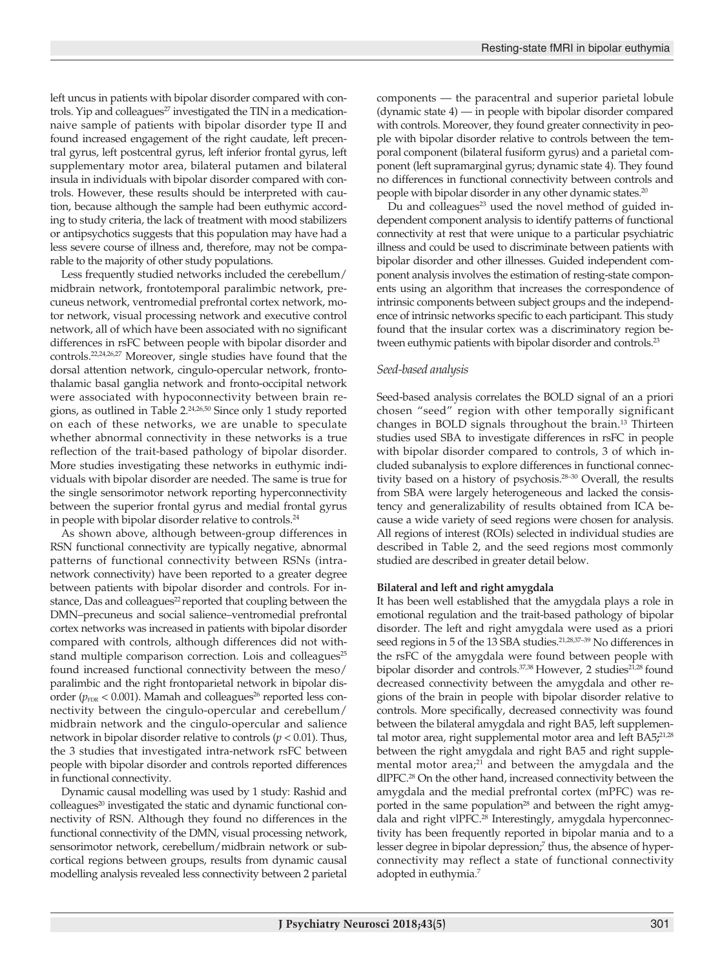left uncus in patients with bipolar disorder compared with controls. Yip and colleagues $27$  investigated the TIN in a medicationnaive sample of patients with bipolar disorder type II and found increased engagement of the right caudate, left precentral gyrus, left postcentral gyrus, left inferior frontal gyrus, left supplementary motor area, bilateral putamen and bilateral insula in individuals with bipolar disorder compared with controls. However, these results should be interpreted with caution, because although the sample had been euthymic according to study criteria, the lack of treatment with mood stabilizers or antipsychotics suggests that this population may have had a less severe course of illness and, therefore, may not be comparable to the majority of other study populations.

Less frequently studied networks included the cerebellum/ midbrain network, frontotemporal paralimbic network, precuneus network, ventromedial prefrontal cortex network, motor network, visual processing network and executive control network, all of which have been associated with no significant differences in rsFC between people with bipolar disorder and controls.22,24,26,27 Moreover, single studies have found that the dorsal attention network, cingulo-opercular network, frontothalamic basal ganglia network and fronto-occipital network were associated with hypoconnectivity between brain regions, as outlined in Table 2. 24,26,50 Since only 1 study reported on each of these networks, we are unable to speculate whether abnormal connectivity in these networks is a true reflection of the trait-based pathology of bipolar disorder. More studies investigating these networks in euthymic individuals with bipolar disorder are needed. The same is true for the single sensorimotor network reporting hyperconnectivity between the superior frontal gyrus and medial frontal gyrus in people with bipolar disorder relative to controls.<sup>24</sup>

As shown above, although between-group differences in RSN functional connectivity are typically negative, abnormal patterns of functional connectivity between RSNs (intranetwork connectivity) have been reported to a greater degree between patients with bipolar disorder and controls. For instance, Das and colleagues<sup>22</sup> reported that coupling between the DMN–precuneus and social salience–ventromedial prefrontal cortex networks was increased in patients with bipolar disorder compared with controls, although differences did not withstand multiple comparison correction. Lois and colleagues<sup>25</sup> found increased functional connectivity between the meso/ paralimbic and the right frontoparietal network in bipolar disorder ( $p_{\text{FDR}}$  < 0.001). Mamah and colleagues<sup>26</sup> reported less connectivity between the cingulo-opercular and cerebellum/ midbrain network and the cingulo-opercular and salience network in bipolar disorder relative to controls (*p* < 0.01). Thus, the 3 studies that investigated intra-network rsFC between people with bipolar disorder and controls reported differences in functional connectivity.

Dynamic causal modelling was used by 1 study: Rashid and colleagues<sup>20</sup> investigated the static and dynamic functional connectivity of RSN. Although they found no differences in the functional connectivity of the DMN, visual processing network, sensorimotor network, cerebellum/midbrain network or subcortical regions between groups, results from dynamic causal modelling analysis revealed less connectivity between 2 parietal components — the paracentral and superior parietal lobule (dynamic state 4) — in people with bipolar disorder compared with controls. Moreover, they found greater connectivity in people with bipolar disorder relative to controls between the temporal component (bilateral fusiform gyrus) and a parietal component (left supramarginal gyrus; dynamic state 4). They found no differences in functional connectivity between controls and people with bipolar disorder in any other dynamic states.20

Du and colleagues<sup>23</sup> used the novel method of guided independent component analysis to identify patterns of functional connectivity at rest that were unique to a particular psychiatric illness and could be used to discriminate between patients with bipolar disorder and other illnesses. Guided independent component analysis involves the estimation of resting-state components using an algorithm that increases the correspondence of intrinsic components between subject groups and the independence of intrinsic networks specific to each participant. This study found that the insular cortex was a discriminatory region between euthymic patients with bipolar disorder and controls.<sup>23</sup>

#### *Seed-based analysis*

Seed-based analysis correlates the BOLD signal of an a priori chosen "seed" region with other temporally significant changes in BOLD signals throughout the brain.13 Thirteen studies used SBA to investigate differences in rsFC in people with bipolar disorder compared to controls, 3 of which included subanalysis to explore differences in functional connectivity based on a history of psychosis.28–30 Overall, the results from SBA were largely heterogeneous and lacked the consistency and generalizability of results obtained from ICA because a wide variety of seed regions were chosen for analysis. All regions of interest (ROIs) selected in individual studies are described in Table 2, and the seed regions most commonly studied are described in greater detail below.

#### **Bilateral and left and right amygdala**

It has been well established that the amygdala plays a role in emotional regulation and the trait-based pathology of bipolar disorder. The left and right amygdala were used as a priori seed regions in 5 of the 13 SBA studies.<sup>21,28,37-39</sup> No differences in the rsFC of the amygdala were found between people with bipolar disorder and controls.<sup>37,38</sup> However, 2 studies<sup>21,28</sup> found decreased connectivity between the amygdala and other regions of the brain in people with bipolar disorder relative to controls. More specifically, decreased connectivity was found between the bilateral amygdala and right BA5, left supplemental motor area, right supplemental motor area and left BA5<sup>21,28</sup> between the right amygdala and right BA5 and right supplemental motor area; $2<sup>1</sup>$  and between the amygdala and the dlPFC.<sup>28</sup> On the other hand, increased connectivity between the amygdala and the medial prefrontal cortex (mPFC) was reported in the same population<sup>28</sup> and between the right amygdala and right vlPFC.<sup>28</sup> Interestingly, amygdala hyperconnectivity has been frequently reported in bipolar mania and to a lesser degree in bipolar depression;<sup>7</sup> thus, the absence of hyperconnectivity may reflect a state of functional connectivity adopted in euthymia.7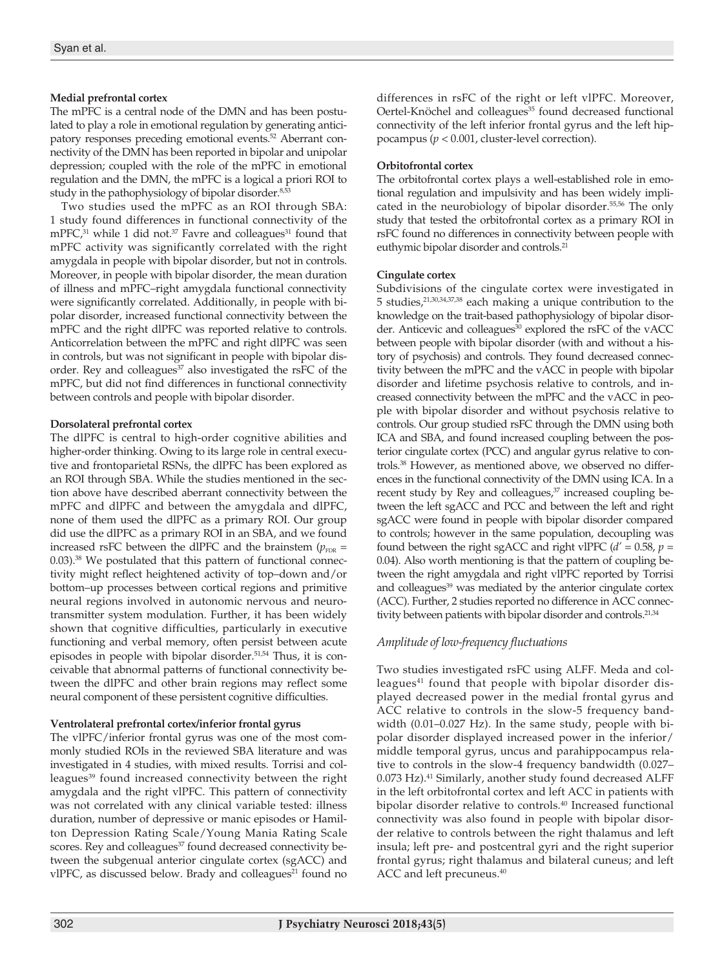#### **Medial prefrontal cortex**

The mPFC is a central node of the DMN and has been postulated to play a role in emotional regulation by generating anticipatory responses preceding emotional events.52 Aberrant connectivity of the DMN has been reported in bipolar and unipolar depression; coupled with the role of the mPFC in emotional regulation and the DMN, the mPFC is a logical a priori ROI to study in the pathophysiology of bipolar disorder.<sup>8,53</sup>

Two studies used the mPFC as an ROI through SBA: 1 study found differences in functional connectivity of the mPFC $,31$  while 1 did not. $37$  Favre and colleagues<sup>31</sup> found that mPFC activity was significantly correlated with the right amygdala in people with bipolar disorder, but not in controls. Moreover, in people with bipolar disorder, the mean duration of illness and mPFC–right amygdala functional connectivity were significantly correlated. Additionally, in people with bipolar disorder, increased functional connectivity between the mPFC and the right dlPFC was reported relative to controls. Anticorrelation between the mPFC and right dlPFC was seen in controls, but was not significant in people with bipolar disorder. Rey and colleagues<sup>37</sup> also investigated the rsFC of the mPFC, but did not find differences in functional connectivity between controls and people with bipolar disorder.

#### **Dorsolateral prefrontal cortex**

The dlPFC is central to high-order cognitive abilities and higher-order thinking. Owing to its large role in central executive and frontoparietal RSNs, the dlPFC has been explored as an ROI through SBA. While the studies mentioned in the section above have described aberrant connectivity between the mPFC and dlPFC and between the amygdala and dlPFC, none of them used the dlPFC as a primary ROI. Our group did use the dlPFC as a primary ROI in an SBA, and we found increased rsFC between the dlPFC and the brainstem ( $p_{FDR}$  = 0.03).<sup>38</sup> We postulated that this pattern of functional connectivity might reflect heightened activity of top–down and/or bottom–up processes between cortical regions and primitive neural regions involved in autonomic nervous and neurotransmitter system modulation. Further, it has been widely shown that cognitive difficulties, particularly in executive functioning and verbal memory, often persist between acute episodes in people with bipolar disorder.<sup>51,54</sup> Thus, it is conceivable that abnormal patterns of functional connectivity between the dlPFC and other brain regions may reflect some neural component of these persistent cognitive difficulties.

#### **Ventrolateral prefrontal cortex/inferior frontal gyrus**

The vlPFC/inferior frontal gyrus was one of the most commonly studied ROIs in the reviewed SBA literature and was investigated in 4 studies, with mixed results. Torrisi and colleagues<sup>39</sup> found increased connectivity between the right amygdala and the right vlPFC. This pattern of connectivity was not correlated with any clinical variable tested: illness duration, number of depressive or manic episodes or Hamilton Depression Rating Scale/Young Mania Rating Scale scores. Rey and colleagues<sup>37</sup> found decreased connectivity between the subgenual anterior cingulate cortex (sgACC) and vlPFC, as discussed below. Brady and colleagues<sup>21</sup> found no

differences in rsFC of the right or left vlPFC. Moreover, Oertel-Knöchel and colleagues<sup>35</sup> found decreased functional connectivity of the left inferior frontal gyrus and the left hippocampus (*p* < 0.001, cluster-level correction).

#### **Orbitofrontal cortex**

The orbitofrontal cortex plays a well-established role in emotional regulation and impulsivity and has been widely implicated in the neurobiology of bipolar disorder.55,56 The only study that tested the orbitofrontal cortex as a primary ROI in rsFC found no differences in connectivity between people with euthymic bipolar disorder and controls.<sup>21</sup>

#### **Cingulate cortex**

Subdivisions of the cingulate cortex were investigated in 5 studies,21,30,34,37,38 each making a unique contribution to the knowledge on the trait-based pathophysiology of bipolar disorder. Anticevic and colleagues<sup>30</sup> explored the rsFC of the vACC between people with bipolar disorder (with and without a history of psychosis) and controls. They found decreased connectivity between the mPFC and the vACC in people with bipolar disorder and lifetime psychosis relative to controls, and increased connectivity between the mPFC and the vACC in people with bipolar disorder and without psychosis relative to controls. Our group studied rsFC through the DMN using both ICA and SBA, and found increased coupling between the posterior cingulate cortex (PCC) and angular gyrus relative to controls.38 However, as mentioned above, we observed no differences in the functional connectivity of the DMN using ICA. In a recent study by Rey and colleagues,<sup>37</sup> increased coupling between the left sgACC and PCC and between the left and right sgACC were found in people with bipolar disorder compared to controls; however in the same population, decoupling was found between the right sgACC and right vlPFC  $(d' = 0.58, p =$ 0.04). Also worth mentioning is that the pattern of coupling between the right amygdala and right vlPFC reported by Torrisi and colleagues<sup>39</sup> was mediated by the anterior cingulate cortex (ACC). Further, 2 studies reported no difference in ACC connectivity between patients with bipolar disorder and controls.<sup>21,34</sup>

## *Amplitude of low-frequency fluctuations*

Two studies investigated rsFC using ALFF. Meda and colleagues<sup>41</sup> found that people with bipolar disorder displayed decreased power in the medial frontal gyrus and ACC relative to controls in the slow-5 frequency bandwidth (0.01–0.027 Hz). In the same study, people with bipolar disorder displayed increased power in the inferior/ middle temporal gyrus, uncus and parahippocampus relative to controls in the slow-4 frequency bandwidth (0.027– 0.073 Hz).<sup>41</sup> Similarly, another study found decreased ALFF in the left orbitofrontal cortex and left ACC in patients with bipolar disorder relative to controls.40 Increased functional connectivity was also found in people with bipolar disorder relative to controls between the right thalamus and left insula; left pre- and postcentral gyri and the right superior frontal gyrus; right thalamus and bilateral cuneus; and left ACC and left precuneus.<sup>40</sup>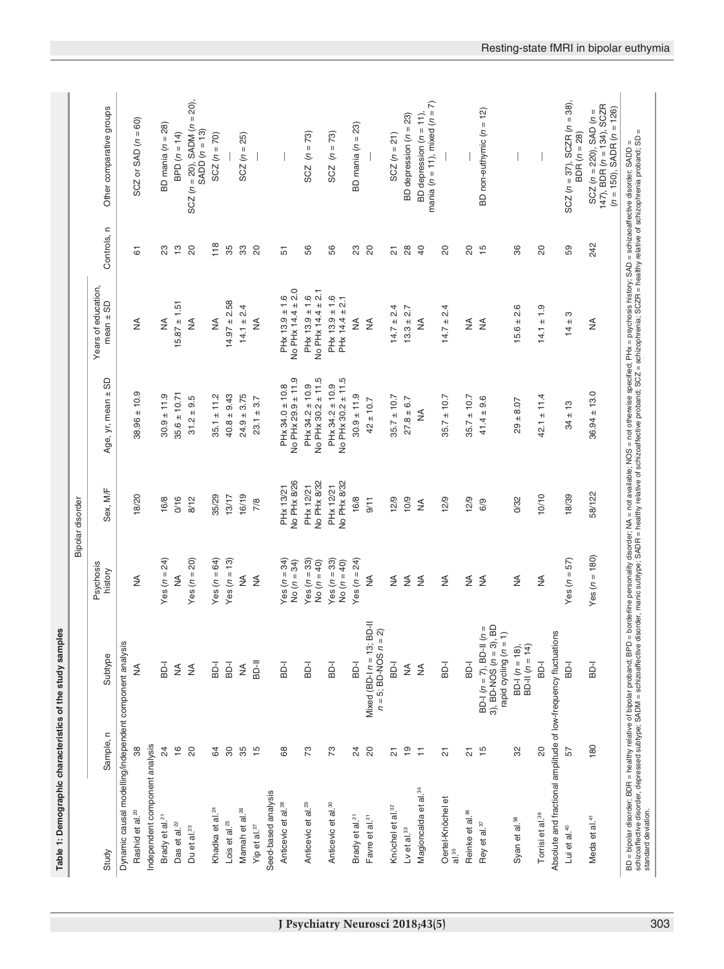|                                                         |                     | Table 1: Demographic characteristics of the study samples                                                                                                                                                                        |                                   |                                 |                                                  |                                             |                |                                                                                                 |
|---------------------------------------------------------|---------------------|----------------------------------------------------------------------------------------------------------------------------------------------------------------------------------------------------------------------------------|-----------------------------------|---------------------------------|--------------------------------------------------|---------------------------------------------|----------------|-------------------------------------------------------------------------------------------------|
|                                                         |                     |                                                                                                                                                                                                                                  |                                   | Bipolar disorder                |                                                  |                                             |                |                                                                                                 |
| Study                                                   | Sample, n           | Subtype                                                                                                                                                                                                                          | Psychosis<br>history              | Sex, M/F                        | Age, yr, mean ± SD                               | Years of education,<br>mean $\pm$ SD        | Controls, n    | Other comparative groups                                                                        |
| Dynamic causal modelling/independent component analysis |                     |                                                                                                                                                                                                                                  |                                   |                                 |                                                  |                                             |                |                                                                                                 |
| Rashid et al. <sup>20</sup>                             |                     | ≨                                                                                                                                                                                                                                | ≨                                 | 18/20                           | $38.96 \pm 10.9$                                 | ≸                                           | 67             | $SCZ$ or $SAD$ $(n = 60)$                                                                       |
| Independent component analysis                          |                     |                                                                                                                                                                                                                                  |                                   |                                 |                                                  |                                             |                |                                                                                                 |
| Brady et al. <sup>21</sup>                              | 24                  | BD-I                                                                                                                                                                                                                             | Yes ( $n = 24$ )                  | 16/8                            | $30.9 \pm 11.9$                                  | ≸                                           | 23             | BD mania $(n = 28)$                                                                             |
| Das et al. <sup>22</sup>                                | $\frac{6}{1}$       | ≸                                                                                                                                                                                                                                | $\frac{1}{2}$                     | 0/16                            | $35.6 \pm 10.71$                                 | $15.87 \pm 1.51$                            | $\frac{1}{2}$  | $BPD(n = 14)$                                                                                   |
| Du et al. <sup>23</sup>                                 | $\overline{c}$      | ₹                                                                                                                                                                                                                                | Yes $(n = 20)$                    | 8/12                            | $31.2 + 9.5$                                     | ≸                                           | $\overline{c}$ | $SCZ (n = 20)$ , SADM $(n = 20)$ ,<br>$SADD(n = 13)$                                            |
| Khadka et al. <sup>24</sup>                             | \$                  | BD-I                                                                                                                                                                                                                             | Yes $(n = 64)$                    | 35/29                           | $35.1 \pm 11.2$                                  | $\frac{1}{2}$                               | 118            | $SCZ (n = 70)$                                                                                  |
| Lois et al. <sup>25</sup>                               | 80                  | BD-I                                                                                                                                                                                                                             | Yes $(n = 13)$                    | 13/17                           | $40.8 \pm 9.43$                                  | $14.97 \pm 2.58$                            | 35             |                                                                                                 |
| Mamah et al. <sup>26</sup>                              | 35                  | ≸                                                                                                                                                                                                                                | ≨                                 | 16/19                           | $24.9 \pm 3.75$                                  | $14.1 \pm 2.4$                              | $\mathbb{S}^2$ | $SCZ (n = 25)$                                                                                  |
| Yip et al. <sup>27</sup>                                | $\frac{15}{2}$      | $\overline{BD}$ -II                                                                                                                                                                                                              | $\lessgtr$                        | 7/8                             | $23.1 \pm 3.7$                                   | ≸                                           | 20             |                                                                                                 |
| Seed-based analysis                                     |                     |                                                                                                                                                                                                                                  |                                   |                                 |                                                  |                                             |                |                                                                                                 |
| Anticevic et al. <sup>28</sup>                          | 89                  | BD-I                                                                                                                                                                                                                             | Yes ( $n = 34$ )<br>No $(n = 34)$ | <b>Vo PHx 8/26</b><br>PHx 13/21 | $V_0$ PHx 29.9 $\pm$ 11.9<br>PHx $34.0 \pm 10.8$ | No PHx 14.4 ± 2.0<br>$PHx 13.9 \pm 1.6$     | 5              |                                                                                                 |
| Anticevic et al. <sup>29</sup>                          | 73                  | BD-I                                                                                                                                                                                                                             | Yes $(n = 33)$<br>No $(n = 40)$   | No PHx 8/32<br>PHx 12/21        | No PHx 30.2 ± 11.5<br>PHx $34.2 \pm 10.9$        | No PHx $14.4 \pm 2.1$<br>$PHx 13.9 \pm 1.6$ | 95             | SCZ $(n = 73)$                                                                                  |
| Anticevic et al. <sup>30</sup>                          | 73                  | BD-I                                                                                                                                                                                                                             | Yes $(n = 33)$<br>No $(n = 40)$   | No PHx 8/32<br>PHx 12/21        | No PHx 30.2 ± 11.5<br>PHx $34.2 \pm 10.9$        | $PHx 13.9 \pm 1.6$<br>PHx $14.4 \pm 2.1$    | 95             | SCZ $(n = 73)$                                                                                  |
| Brady et al. <sup>21</sup>                              | 24                  | BD-I                                                                                                                                                                                                                             | Yes $(n = 24)$                    | 16/8                            | $30.9 \pm 11.9$                                  | ≸                                           | 23             | BD mania ( $n = 23$ )                                                                           |
| Favre et al. <sup>31</sup>                              | $\overline{c}$      | <b>BD-II</b><br>$n = 5$ ; BD-NOS $n = 2$ )<br>Mixed (BD- $n = 13$ ;                                                                                                                                                              | ₹                                 | 9/11                            | $42 \pm 10.7$                                    | ₹                                           | 20             |                                                                                                 |
| Knöchel et al. <sup>32</sup>                            | 21                  | BD-I                                                                                                                                                                                                                             | ≸                                 | 12/9                            | $35.7 \pm 10.7$                                  | $14.7 \pm 2.4$                              | 5              | $SCZ (n = 21)$                                                                                  |
| Lv et al. <sup>33</sup>                                 | ၣ                   | ₹                                                                                                                                                                                                                                | $\lessgtr$                        | 10/9                            | $27.8 \pm 6.7$                                   | $13.3 \pm 2.7$                              | $^{28}$        | BD depression $(n = 23)$                                                                        |
| Magioncalda et al. <sup>34</sup>                        | $\overline{\tau}$   | $\lessgtr$                                                                                                                                                                                                                       | $\frac{4}{2}$                     | $\frac{1}{2}$                   | ≨                                                | ≸                                           | $\overline{a}$ | mania ( $n = 11$ ), mixed ( $n = 7$ )<br>BD depression $(n = 11)$ ,                             |
| Oertel-Knöchel et<br>$a^{135}$                          | $\overline{\Omega}$ | BD-I                                                                                                                                                                                                                             | $\lessgtr$                        | 12/9                            | $35.7 \pm 10.7$                                  | $14.7 \pm 2.4$                              | $\overline{c}$ |                                                                                                 |
| Reinke et al. <sup>36</sup>                             | 21                  | BD-I                                                                                                                                                                                                                             | $\lessgtr$                        | 12/9                            | $35.7 \pm 10.7$                                  | ₹                                           | $\rm ^{2}$     |                                                                                                 |
| Rey et al. <sup>37</sup>                                | $\frac{15}{2}$      | $BD-(n=7), BD-II (n=$<br>$\sim$ $p=0.505$<br>$m=3, BD$<br>rapid cycling $(n = 1)$<br>3), BD-NOS $(n = 3)$                                                                                                                        | $\lessgtr$                        | 6/9                             | $41.4 \pm 9.6$                                   | ≸                                           | $\frac{15}{2}$ | BD non-euthymic $(n = 12)$                                                                      |
| Syan et al. <sup>38</sup>                               | 32                  | $BD-1(n = 18),$<br>$BD - II (n = 14)$                                                                                                                                                                                            | $\frac{1}{2}$                     | 0/32                            | $29 \pm 8.07$                                    | $15.6 \pm 2.6$                              | 86             |                                                                                                 |
| Torrisi et al. <sup>39</sup>                            | 20                  | BD-I                                                                                                                                                                                                                             | $\frac{1}{2}$                     | 10/10                           | $42.1 \pm 11.4$                                  | $14.1 \pm 1.9$                              | $\Omega$       |                                                                                                 |
|                                                         |                     | Absolute and fractional amplitude of low-frequency fluctuations                                                                                                                                                                  |                                   |                                 |                                                  |                                             |                |                                                                                                 |
| Lui et al. <sup>40</sup>                                | 57                  | BD-I                                                                                                                                                                                                                             | Yes $(n = 57)$                    | 18/39                           | $34 \pm 13$                                      | $14 \pm 3$                                  | 59             | SCZ ( $n = 37$ ), SCZR ( $n = 38$ ),<br>$BDR (n = 28)$                                          |
| Meda et al. <sup>41</sup>                               | 180                 | BD-I                                                                                                                                                                                                                             | Yes $(n = 180)$                   | 58/122                          | $36.94 \pm 13.0$                                 | ≸                                           | 242            | 147), BDR ( $n = 134$ ), SCZR<br>$(n = 150)$ , SADR $(n = 126)$<br>$SCZ (n = 220)$ , $SAD (n =$ |
| standard deviation.                                     |                     | BD = bipolar disorder: BDR = healthy relative of bipolar proband; BPD = borderline personality disorder; NA = not available; NOS = not otherwise specified; PHx = psychosis history; SAD = schizaaffective disorder; SADD =<br>s |                                   |                                 |                                                  |                                             |                |                                                                                                 |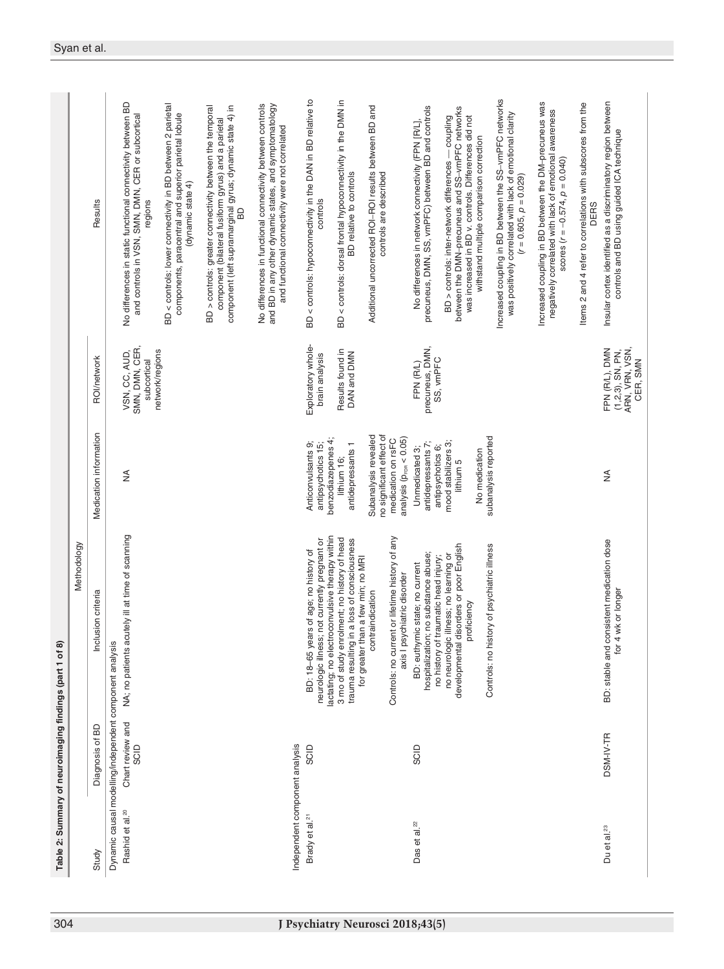|                                | Table 2: Summary of neuroimaging findings (part 1 of 8)                                    |                                                                                                                                                                                       |                                                                                                              |                                                                       |                                                                                                                                                                                                            |
|--------------------------------|--------------------------------------------------------------------------------------------|---------------------------------------------------------------------------------------------------------------------------------------------------------------------------------------|--------------------------------------------------------------------------------------------------------------|-----------------------------------------------------------------------|------------------------------------------------------------------------------------------------------------------------------------------------------------------------------------------------------------|
|                                |                                                                                            | Methodology                                                                                                                                                                           |                                                                                                              |                                                                       |                                                                                                                                                                                                            |
| Study                          | 6<br>Diagnosis of                                                                          | Inclusion criteria                                                                                                                                                                    | Medication information                                                                                       | ROI/network                                                           | Results                                                                                                                                                                                                    |
| Rashid et al. <sup>20</sup>    | Dynamic causal modelling/independent component analysis<br>Chart review and<br><b>SCID</b> | acutely ill at time of scanning<br>NA; no patients                                                                                                                                    | ≸                                                                                                            | SMN, DMN, CER,<br>VSN, CC, AUD,<br>subcortical                        | No differences in static functional connectivity between BD<br>and controls in VSN, SMN, DMN, CER or subcortical<br>regions                                                                                |
|                                |                                                                                            |                                                                                                                                                                                       |                                                                                                              | network/regions                                                       | BD < controls: lower connectivity in BD between 2 parietal<br>components, paracentral and superior parietal lobule<br>(dynamic state 4)                                                                    |
|                                |                                                                                            |                                                                                                                                                                                       |                                                                                                              |                                                                       | component (left supramarginal gyrus; dynamic state 4) in<br>BD > controls: greater connectivity between the temporal<br>component (bilateral fusiform gyrus) and a parietal<br>BD                          |
| Independent component analysis |                                                                                            |                                                                                                                                                                                       |                                                                                                              |                                                                       | No differences in functional connectivity between controls<br>and BD in any other dynamic states, and symptomatology<br>and functional connectivity were not correlated                                    |
| Brady et al. <sup>21</sup>     | SCID                                                                                       | neurologic illness; not currently pregnant or<br>BD: 18-65 years of age; no history of                                                                                                | antipsychotics 15;<br>Anticonvulsants 9;                                                                     | Exploratory whole-<br>brain analysis                                  | BD < controls: hypoconnectivity in the DAN in BD relative to<br>controls                                                                                                                                   |
|                                |                                                                                            | lactating; no electroconvulsive therapy within<br>3 mo of study enrolment; no history of head<br>trauma resulting in a loss of consciousness<br>than a few min; no MRI<br>for greater | benzodiazepenes 4;<br>antidepressants 1<br>lithium 16;                                                       | Results found in<br>DAN and DMN                                       | BD < controls: dorsal frontal hypoconnectivity in the DMN in<br>BD relative to controls                                                                                                                    |
|                                |                                                                                            | Controls: no current or lifetime history of any<br>axis I psychiatric disorder<br>contraindication                                                                                    | no significant effect of<br>Subanalysis revealed<br>analysis (p <sub>rpn</sub> < 0.05)<br>medication on rsFC |                                                                       | Additional uncorrected ROI-ROI results between BD and<br>controls are described                                                                                                                            |
| Das et al. <sup>22</sup>       | SCID                                                                                       | hospitalization; no substance abuse;<br>BD: euthymic state; no current                                                                                                                | antidepressants 7;<br>Unmedicated 3;                                                                         | precuneus, DMN,<br>FPN (R/L)                                          | precuneus, DMN, SS, vmPFC) between BD and controls<br>No differences in network connectivity (FPN [R/L],                                                                                                   |
|                                |                                                                                            | I disorders or poor English<br>no neurologic illness; no learning or<br>no history of traumatic head injury;<br>proficiency<br>developmenta                                           | mood stabilizers 3;<br>antipsychotics 6;<br>No medication<br>lithium 5                                       | SS, vmPFC                                                             | between the DMN-precuneus and SS-vmPFC networks<br>was increased in BD v. controls. Differences did not<br>BD > controls: inter-network differences - coupling<br>withstand multiple comparison correction |
|                                |                                                                                            | Controls: no history of psychiatric illness                                                                                                                                           | subanalysis reported                                                                                         |                                                                       | Increased coupling in BD between the SS-vmPFC networks<br>was positively correlated with lack of emotional clarity<br>$(r = 0.605, p = 0.029)$                                                             |
|                                |                                                                                            |                                                                                                                                                                                       |                                                                                                              |                                                                       | Increased coupling in BD between the DM-precuneus was<br>negatively correlated with lack of emotional awareness<br>scores ( $r = -0.574$ , $p = 0.040$ )                                                   |
|                                |                                                                                            |                                                                                                                                                                                       |                                                                                                              |                                                                       | Items 2 and 4 refer to correlations with subscores from the<br><b>DERS</b>                                                                                                                                 |
| Du et al. <sup>23</sup>        | DSM-IV-TR                                                                                  | consistent medication dose<br>4 wk or longer<br>BD: stable and<br>ð                                                                                                                   | ≸                                                                                                            | $(1, 2, 3)$ , SN, PN,<br>ARN, VRN, VSN,<br>FPN (R/L), DMN<br>CER, SMN | Insular cortex identified as a discriminatory region between<br>controls and BD using guided ICA technique                                                                                                 |
|                                |                                                                                            |                                                                                                                                                                                       |                                                                                                              |                                                                       |                                                                                                                                                                                                            |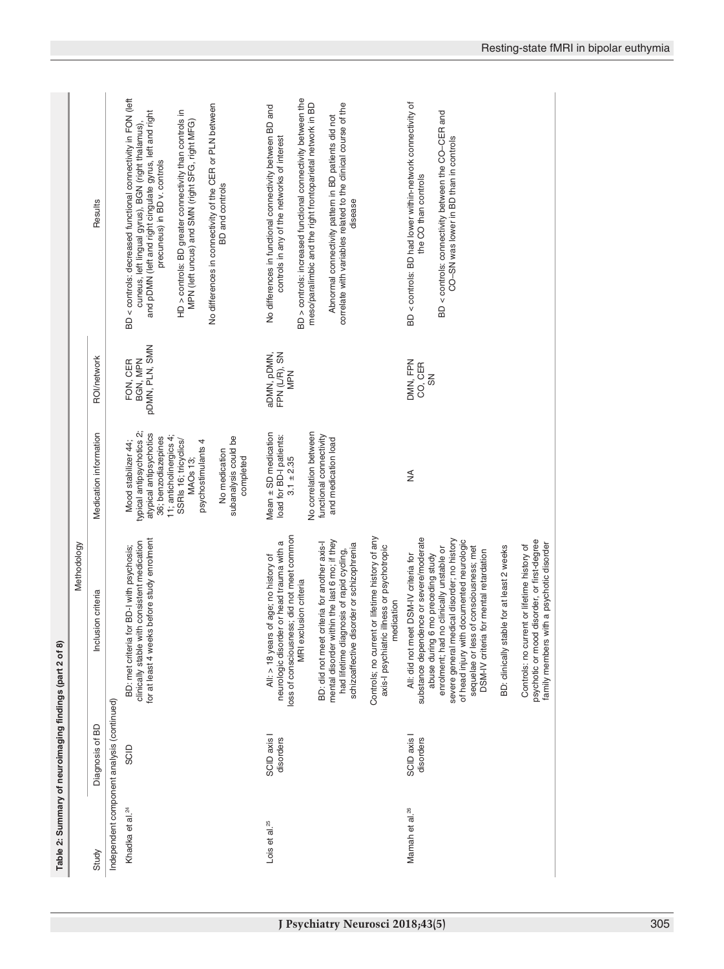|                             | Table 2: Summary of neuroimaging findings (part 2 of 8) |                                                                                                                                                                                                                                                                                                                                                      |                                                                                                                                                                                                                                                |                                            |                                                                                                                                                                                                                                                                                                                                                                                                                    |
|-----------------------------|---------------------------------------------------------|------------------------------------------------------------------------------------------------------------------------------------------------------------------------------------------------------------------------------------------------------------------------------------------------------------------------------------------------------|------------------------------------------------------------------------------------------------------------------------------------------------------------------------------------------------------------------------------------------------|--------------------------------------------|--------------------------------------------------------------------------------------------------------------------------------------------------------------------------------------------------------------------------------------------------------------------------------------------------------------------------------------------------------------------------------------------------------------------|
|                             |                                                         | Methodology                                                                                                                                                                                                                                                                                                                                          |                                                                                                                                                                                                                                                |                                            |                                                                                                                                                                                                                                                                                                                                                                                                                    |
| Study                       | Diagnosis of BD                                         | Inclusion criteria                                                                                                                                                                                                                                                                                                                                   | Medication information                                                                                                                                                                                                                         | ROI/network                                | Results                                                                                                                                                                                                                                                                                                                                                                                                            |
|                             | Independent component analysis (continued)              |                                                                                                                                                                                                                                                                                                                                                      |                                                                                                                                                                                                                                                |                                            |                                                                                                                                                                                                                                                                                                                                                                                                                    |
| Khadka et al. <sup>24</sup> | SCID                                                    | for at least 4 weeks before study enrolment<br>clinically stable with consistent medication<br>BD: met criteria for BD-I with psychosis;                                                                                                                                                                                                             | typical antipsychotics 2;<br>atypical antipsychotics<br>11; anticholinergics 4;<br>36; benzodiazepines<br>subanalysis could be<br>SSRIs 16; tricyclics/<br>psychostimulants 4<br>Mood stabilizer 44;<br>No medication<br>completed<br>MAOs 13; | pDMN, PLN, SMN<br>BGN, MPN<br>FON, CER     | BD < controls: decreased functional connectivity in FON (left<br>No differences in connectivity of the CER or PLN between<br>HD > controls: BD greater connectivity than controls in<br>and pDMN (left and right cingulate gyrus, left and right<br>MPN (left uncus) and SMN (right SFG, right MFG)<br>cuneus, left lingual gyrus), BGN (right thalamus)<br>precuneus) in BD v. controls<br><b>BD</b> and controls |
| Lois et al. <sup>25</sup>   | SCID axis I<br>disorders                                | loss of consciousness; did not meet common<br>neurologic disorder or head trauma with a<br>All: > 18 years of age; no history of<br>exclusion criteria<br>MRI                                                                                                                                                                                        | No correlation between<br>$Mean \pm SD$ medication<br>load for BD-I patients:<br>$3.1 \pm 2.35$                                                                                                                                                | aDMN, pDMN,<br>FPN (L/R), SN<br><b>MPN</b> | BD > controls: increased functional connectivity between the<br>No differences in functional connectivity between BD and<br>controls in any of the networks of interest                                                                                                                                                                                                                                            |
|                             |                                                         | mental disorder within the last 6 mo; if they<br>BD: did not meet criteria for another axis-I<br>schizoaffective disorder or schizophrenia<br>had lifetime diagnosis of rapid cycling,                                                                                                                                                               | functional connectivity<br>and medication load                                                                                                                                                                                                 |                                            | meso/paralimbic and the right frontoparietal network in BD<br>correlate with variables related to the clinical course of the<br>Abnormal connectivity pattern in BD patients did not<br>disease                                                                                                                                                                                                                    |
|                             |                                                         | Controls; no current or lifetime history of any<br>axis-I psychiatric illness or psychotropic<br>medication                                                                                                                                                                                                                                          |                                                                                                                                                                                                                                                |                                            |                                                                                                                                                                                                                                                                                                                                                                                                                    |
| Mamah et al. <sup>26</sup>  | SCID axis I<br>disorders                                | substance dependence or severe/moderate<br>severe general medical disorder; no history<br>of head injury with documented neurologic<br>enrolment; had no clinically unstable or<br>sequelae or less of consciousness; met<br>DSM-IV criteria for mental retardation<br>meet DSM-IV criteria for<br>abuse during 6 mo preceding study<br>All: did not | ≸                                                                                                                                                                                                                                              | DMN, FPN<br>CO, CER<br>$\frac{8}{2}$       | BD < controls: BD had lower within-network connectivity of<br>BD < controls: connectivity between the CO-CER and<br>CO-SN was lower in BD than in controls<br>the CO than controls                                                                                                                                                                                                                                 |
|                             |                                                         | stable for at least 2 weeks<br>BD: clinically                                                                                                                                                                                                                                                                                                        |                                                                                                                                                                                                                                                |                                            |                                                                                                                                                                                                                                                                                                                                                                                                                    |
|                             |                                                         | psychotic or mood disorder, or first-degree<br>family members with a psychotic disorder<br>Controls: no current or lifetime history of                                                                                                                                                                                                               |                                                                                                                                                                                                                                                |                                            |                                                                                                                                                                                                                                                                                                                                                                                                                    |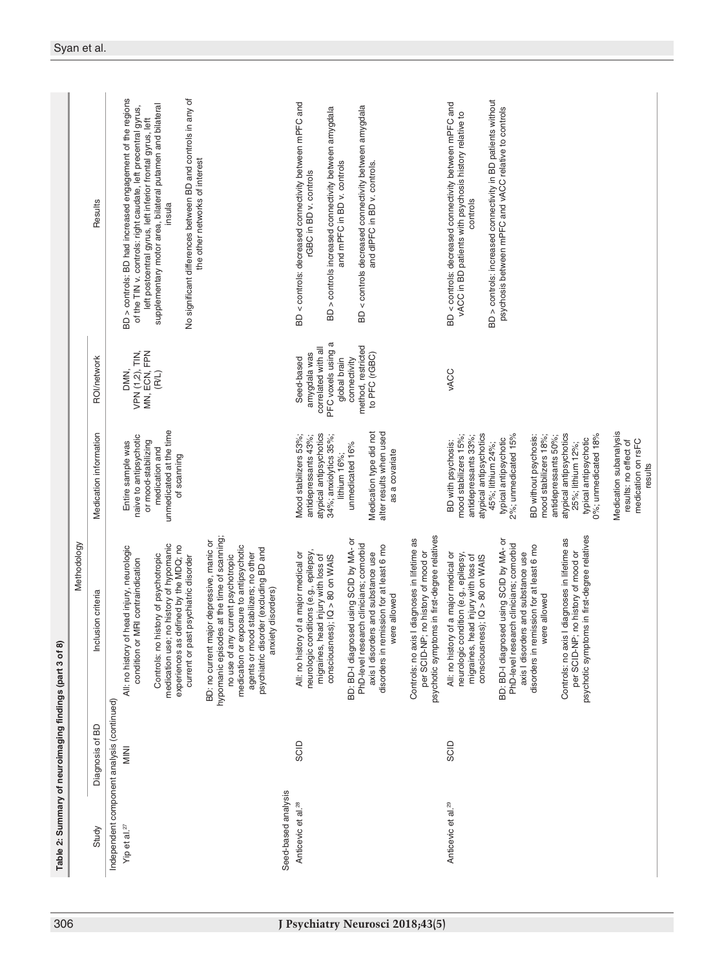| 306                              |                                                       | Table 2: Summary of neuroimaging findings (part 3 of 8) | Methodology                                                                                                                                                                                                                                                                       |                                                                                                                      |                                                                         |                                                                                                                                                                                                  |  |
|----------------------------------|-------------------------------------------------------|---------------------------------------------------------|-----------------------------------------------------------------------------------------------------------------------------------------------------------------------------------------------------------------------------------------------------------------------------------|----------------------------------------------------------------------------------------------------------------------|-------------------------------------------------------------------------|--------------------------------------------------------------------------------------------------------------------------------------------------------------------------------------------------|--|
|                                  | Study                                                 | 읇<br>Diagnosis of                                       | clusion criteria<br>드                                                                                                                                                                                                                                                             | Medication information                                                                                               | ROI/network                                                             | Results                                                                                                                                                                                          |  |
|                                  | Yip et al. <sup>27</sup>                              | Independent component analysis (continued)<br>NIN       | All: no history of head injury, neurologic<br>or MRI contraindication<br>condition                                                                                                                                                                                                | naive to antipsychotic<br>Entire sample was                                                                          | VPN (1,2), TIN,<br>MN, ECN, FPN<br>DMN,                                 | BD > controls: BD had increased engagement of the regions<br>of the TIN v. controls: right caudate, left precentral gyrus,                                                                       |  |
|                                  |                                                       |                                                         | medication use; no history of hypomanic<br>experiences as defined by the MDQ; no<br>Controls: no history of psychotropic<br>past psychiatric disorder<br>current or                                                                                                               | unmedicated at the time<br>or mood-stabilizing<br>medication and<br>of scanning                                      | (H/L)                                                                   | No significant differences between BD and controls in any of<br>supplementary motor area, bilateral putamen and bilateral<br>left postcentral gyrus, left inferior frontal gyrus, left<br>insula |  |
|                                  |                                                       |                                                         | hypomanic episodes at the time of scanning;<br>BD: no current major depressive, manic or<br>medication or exposure to antipsychotic<br>psychiatric disorder (excluding BD and<br>agents or mood stabilizers; no other<br>no use of any current psychotropic<br>anxiety disorders) |                                                                                                                      |                                                                         | the other networks of interest                                                                                                                                                                   |  |
|                                  | Seed-based analysis<br>Anticevic et al. <sup>28</sup> | SCID                                                    | neurologic conditions (e.g., epilepsy,<br>All: no history of a major medical or<br>migraines, head injury with loss of<br>consciousness); $IQ > 80$ on WAIS                                                                                                                       | atypical antipsychotics<br>Mood stabilizers 53%;<br>34%; anxiolytics 35%;<br>antidepressants 43%;                    | PFC voxels using a<br>correlated with all<br>amygdala was<br>Seed-based | BD < controls: decreased connectivity between mPFC and<br>BD > controls increased connectivity between amygdala<br>rGBC in BD v. controls                                                        |  |
| J Psychiatry Neurosci 2018;43(5) |                                                       |                                                         | BD: BD-I diagnosed using SCID by MA- or<br>PhD-level research clinicians; comorbid<br>disorders in remission for at least 6 mo<br>axis I disorders and substance use<br>were allowed                                                                                              | Medication type did not<br>alter results when used<br>unmedicated 16%<br>as a covariate<br>lithium 16%;              | method, restricted<br>to PFC (rGBC)<br>global brain<br>connectivity     | BD < controls decreased connectivity between amygdala<br>and mPFC in BD v. controls<br>and dIPFC in BD v. controls.                                                                              |  |
|                                  |                                                       |                                                         | psychotic symptoms in first-degree relatives<br>Controls: no axis I diagnoses in lifetime as<br>per SCID-NP; no history of mood or                                                                                                                                                |                                                                                                                      |                                                                         |                                                                                                                                                                                                  |  |
|                                  | Anticevic et al. <sup>29</sup>                        | SCID                                                    | All: no history of a major medical or<br>neurologic condition (e.g., epilepsy,<br>migraines, head injury with loss of<br>$consciousness$ ; $IQ > 80$ on WAIS                                                                                                                      | atypical antipsychotics<br>mood stabilizers 15%;<br>antidepressants 33%;<br>BD with psychosis:                       | VACC                                                                    | BD < controls: decreased connectivity between mPFC and<br>vACC in BD patients with psychosis history relative to<br>controls                                                                     |  |
|                                  |                                                       |                                                         | BD: BD-I diagnosed using SCID by MA- or<br>PhD-level research clinicians; comorbid<br>remission for at least 6 mo<br>axis I disorders and substance use<br>were allowed<br>disorders in                                                                                           | 2%; unmedicated 15%<br>mood stabilizers 18%;<br>BD without psychosis:<br>typical antipsychotic<br>45%; lithium 24%;  |                                                                         | BD > controls: increased connectivity in BD patients without<br>psychosis between mPFC and vACC relative to controls                                                                             |  |
|                                  |                                                       |                                                         | psychotic symptoms in first-degree relatives<br>Controls: no axis I diagnoses in lifetime as<br>per SCID-NP; no history of mood or                                                                                                                                                | atypical antipsychotics<br>0%; unmedicated 18%<br>antidepressants 50%;<br>typical antipsychotic<br>25%; lithium 12%; |                                                                         |                                                                                                                                                                                                  |  |
|                                  |                                                       |                                                         |                                                                                                                                                                                                                                                                                   | Medication subanalysis<br>results: no effect of<br>medication on rsFC<br>results                                     |                                                                         |                                                                                                                                                                                                  |  |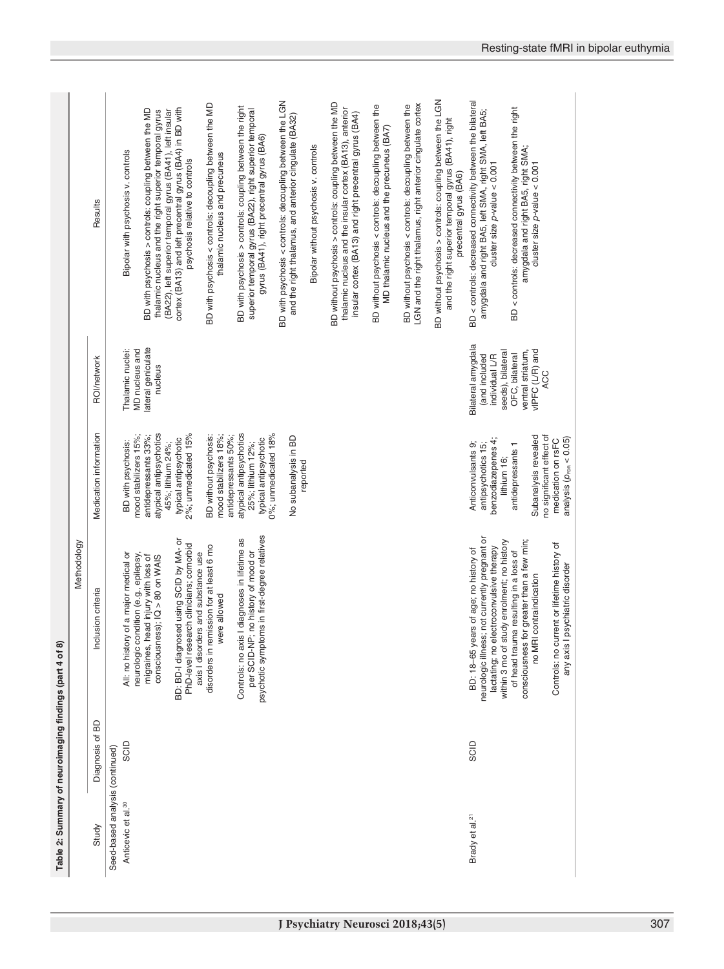|                                 | Table 2: Summary of neuroimaging findings (part 4 of 8) |                                                                                             |                                                          |                                      |                                                                                                                        |
|---------------------------------|---------------------------------------------------------|---------------------------------------------------------------------------------------------|----------------------------------------------------------|--------------------------------------|------------------------------------------------------------------------------------------------------------------------|
|                                 |                                                         | Methodology                                                                                 |                                                          |                                      |                                                                                                                        |
| Study                           | Diagnosis of BD                                         | Inclusion criteria                                                                          | Medication information                                   | <b>ROI/network</b>                   | Results                                                                                                                |
| Seed-based analysis (continued) |                                                         |                                                                                             |                                                          |                                      |                                                                                                                        |
| Anticevic et al. <sup>30</sup>  | SCID                                                    | All: no history of a major medical or                                                       | BD with psychosis:                                       | Thalamic nuclei:                     | Bipolar with psychosis v. controls                                                                                     |
|                                 |                                                         | neurologic condition (e.g., epilepsy,<br>migraines, head injury with loss of                | mood stabilizers 15%;<br>antidepressants 33%;            | ateral geniculate<br>MD nucleus and  | BD with psychosis > controls: coupling between the MD                                                                  |
|                                 |                                                         | $consciousness$ ; $IQ > 80$ on WAIS                                                         | atypical antipsychotics<br>45%; lithium 24%;             | nucleus                              | (BA22), left superior temporal gyrus (BA41), left insular<br>thalamic nucleus and the right superior temporal gyrus    |
|                                 |                                                         | BD: BD-I diagnosed using SCID by MA- or                                                     | typical antipsychotic                                    |                                      | cortex (BA13) and left precentral gyrus (BA4) in BD with                                                               |
|                                 |                                                         | PhD-level research clinicians; comorbid<br>axis I disorders and substance use               | 2%; unmedicated 15%                                      |                                      | psychosis relative to controls                                                                                         |
|                                 |                                                         | remission for at least 6 mo<br>disorders in                                                 | BD without psychosis:                                    |                                      | BD with psychosis < controls: decoupling between the MD                                                                |
|                                 |                                                         | were allowed                                                                                | mood stabilizers 18%;<br>antidepressants 50%;            |                                      | thalamic nucleus and precuneus                                                                                         |
|                                 |                                                         | Controls: no axis I diagnoses in lifetime as                                                | atypical antipsychotics                                  |                                      | BD with psychosis > controls: coupling between the right                                                               |
|                                 |                                                         | psychotic symptoms in first-degree relatives<br>per SCID-NP; no history of mood or          | typical antipsychotic<br>25%; lithium 12%;               |                                      | superior temporal gyrus (BA22), right superior temporal<br>gyrus (BA41), right precentral gyrus (BA6)                  |
|                                 |                                                         |                                                                                             | 0%; unmedicated 18%                                      |                                      | BD with psychosis < controls: decoupling between the LGN                                                               |
|                                 |                                                         |                                                                                             | No subanalysis in BD<br>reported                         |                                      | and the right thalamus, and anterior cingulate (BA32)                                                                  |
|                                 |                                                         |                                                                                             |                                                          |                                      | Bipolar without psychosis v. controls                                                                                  |
|                                 |                                                         |                                                                                             |                                                          |                                      | BD without psychosis > controls: coupling between the MD<br>thalamic nucleus and the insular cortex (BA13), anterior   |
|                                 |                                                         |                                                                                             |                                                          |                                      | insular cortex (BA13) and right precentral gyrus (BA4)                                                                 |
|                                 |                                                         |                                                                                             |                                                          |                                      | BD without psychosis < controls: decoupling between the                                                                |
|                                 |                                                         |                                                                                             |                                                          |                                      | MD thalamic nucleus and the precuneus (BA7)                                                                            |
|                                 |                                                         |                                                                                             |                                                          |                                      | LGN and the right thalamus, right anterior cingulate cortex<br>BD without psychosis < controls: decoupling between the |
|                                 |                                                         |                                                                                             |                                                          |                                      | BD without psychosis > controls: coupling between the LGN                                                              |
|                                 |                                                         |                                                                                             |                                                          |                                      | and the right superior temporal gyrus (BA41), right<br>precentral gyrus (BA6)                                          |
| Brady et al. <sup>21</sup>      | SCID                                                    | BD: 18-65 years of age; no history of                                                       | Anticonvulsants 9;                                       | Bilateral amygdala                   | BD < controls: decreased connectivity between the bilateral                                                            |
|                                 |                                                         | neurologic illness; not currently pregnant or<br>electroconvulsive therapy<br>lactating; no | benzodiazepenes 4;<br>antipsychotics 15;                 | (and included<br>individual L/R      | amygdala and right BA5, left SMA, right SMA, left BA5;<br>cluster size $p$ -value < $0.001$                            |
|                                 |                                                         | study enrolment; no history<br>of head trauma resulting in a loss of<br>within 3 mo of      | antidepressants 1<br>lithium 16;                         | seeds), bilateral<br>OFC, bilateral  | BD < controls: decreased connectivity between the right                                                                |
|                                 |                                                         | consciousness for greater than a few min;<br>no MRI contraindication                        | Subanalysis revealed                                     | vIPFC (L/R) and<br>ventral striatum, | amygdala and right BA5, right SMA;<br>cluster size $p$ -value < 0.001                                                  |
|                                 |                                                         |                                                                                             | no significant effect of                                 | <b>ACC</b>                           |                                                                                                                        |
|                                 |                                                         | Controls: no current or lifetime history of<br>any axis I psychiatric disorder              | analysis $(p_{\text{fph}} < 0.05)$<br>medication on rsFC |                                      |                                                                                                                        |
|                                 |                                                         |                                                                                             |                                                          |                                      |                                                                                                                        |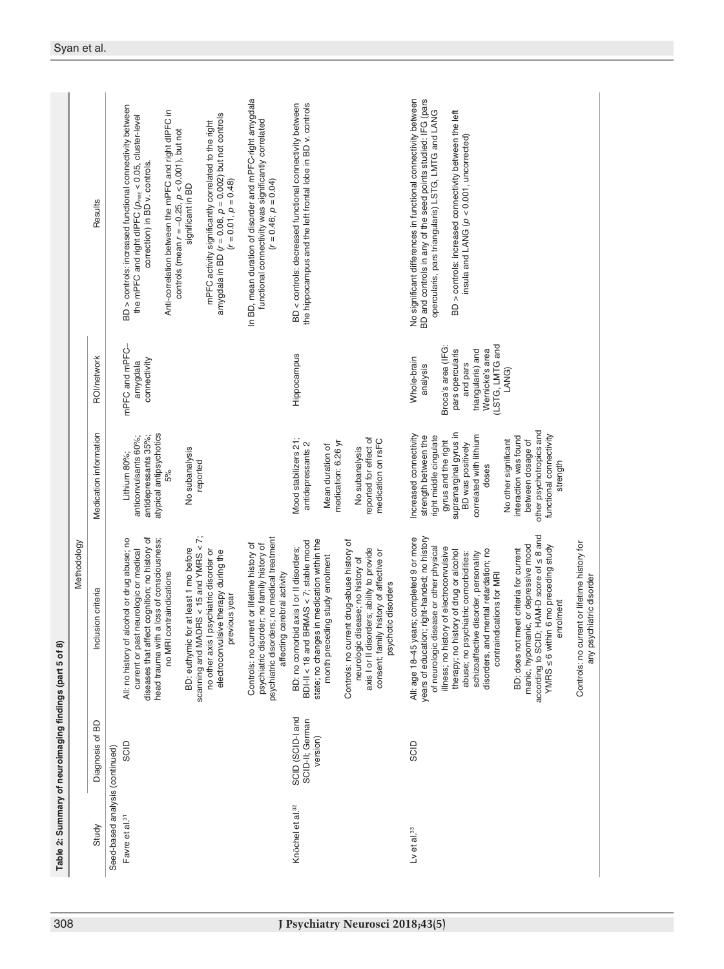| BD > controls: increased functional connectivity between<br>functional connectivity was significantly correlated<br>mPFC activity significantly correlated to the right<br>controls (mean $r = -0.25$ , $p < 0.001$ ), but not<br>insula and LANG $(p < 0.001$ , uncorrected)<br>correction) in BD v. controls<br>$(r = 0.46; p = 0.04)$<br>$(r = 0.01, p = 0.48)$<br>significant in BD<br>Results<br>(LSTG, LMTG and<br>mPFC and mPFC-<br>Broca's area (IFG:<br>pars opercularis<br>triangularis) and<br>Wernicke's area<br>Hippocampus<br>ROI/network<br>Whole-brain<br>connectivity<br>amygdala<br>and pars<br>analysis<br>LANG)<br>other psychotropics and<br>supramarginal gyrus in<br>Medication information<br>atypical antipsychotics<br>functional connectivity<br>Increased connectivity<br>correlated with lithium<br>strength between the<br>right middle cingulate<br>interaction was found<br>antidepressants 35%;<br>anticonvulsants 60%;<br>Mood stabilizers 21;<br>reported for effect of<br>medication on rsFC<br>No other significant<br>gyrus and the right<br>between dosage of<br>medication: 6.26 yr<br>BD was positively<br>antidepressants 2<br>Mean duration of<br>No subanalysis<br>No subanalysis<br>Lithium 80%;<br>reported<br>strength<br>doses<br>5%<br>according to SCID; HAM-D score of ≤ 8 and<br>scanning and MADRS < 15 and YMRS < 7;<br>All: age 18-45 years; completed 9 or more<br>years of education; right-handed; no history<br>diseases that affect cognition; no history of<br>psychiatric disorders; no medical treatment<br>of alcohol or drug abuse; no<br>head trauma with a loss of consciousness;<br>state; no changes in medication within the<br>Controls: no current drug-abuse history of<br>BDI-II < 18 and BRMAS < 7; stable mood<br>Controls: no current or lifetime history for<br>Controls: no current or lifetime history of<br>psychiatric disorder; no family history of<br>manic, hypomanic, or depressive mood<br>YMRS < 6 within 6 mo preceding study<br>of neurologic disease or other physical<br>illness; no history of electroconvulsive<br>BD: euthymic for at least 1 mo before<br>BD: no comorbid axis I or II disorders;<br>current or past neurologic or medical<br>no other axis I psychiatric disorder or<br>axis I or II disorders; ability to provide<br>BD: does not meet criteria for current<br>therapy; no history of drug or alcohol<br>disorders, and mental retardation; no<br>electroconvulsive therapy during the<br>consent; family history of affective or<br>abuse; no psychiatric comorbidities:<br>schizoaffective disorder, personality<br>month preceding study enrolment<br>neurologic disease; no history of<br>contraindications for MRI<br>no MRI contraindications<br>affecting cerebral activity<br>any psychiatric disorder<br>psychotic disorders<br>Inclusion criteria<br>previous year<br>enrolment<br>All: no history<br>SCID (SCID-I and<br>SCID-II; German<br>60<br>Diagnosis of<br>version)<br>SCID<br>SCID<br>Seed-based analysis (continued)<br>Knöchel et al. <sup>32</sup><br>Favre et al. <sup>31</sup><br>Study<br>Lv et al. <sup>33</sup> |  | Methodology |  |                                                                                                                                                                                                                                                |
|---------------------------------------------------------------------------------------------------------------------------------------------------------------------------------------------------------------------------------------------------------------------------------------------------------------------------------------------------------------------------------------------------------------------------------------------------------------------------------------------------------------------------------------------------------------------------------------------------------------------------------------------------------------------------------------------------------------------------------------------------------------------------------------------------------------------------------------------------------------------------------------------------------------------------------------------------------------------------------------------------------------------------------------------------------------------------------------------------------------------------------------------------------------------------------------------------------------------------------------------------------------------------------------------------------------------------------------------------------------------------------------------------------------------------------------------------------------------------------------------------------------------------------------------------------------------------------------------------------------------------------------------------------------------------------------------------------------------------------------------------------------------------------------------------------------------------------------------------------------------------------------------------------------------------------------------------------------------------------------------------------------------------------------------------------------------------------------------------------------------------------------------------------------------------------------------------------------------------------------------------------------------------------------------------------------------------------------------------------------------------------------------------------------------------------------------------------------------------------------------------------------------------------------------------------------------------------------------------------------------------------------------------------------------------------------------------------------------------------------------------------------------------------------------------------------------------------------------------------------------------------------------------------------------------------------------------------------------------------------------------------------------------------------------------------------------------------------------------------------------------------------------------------------|--|-------------|--|------------------------------------------------------------------------------------------------------------------------------------------------------------------------------------------------------------------------------------------------|
|                                                                                                                                                                                                                                                                                                                                                                                                                                                                                                                                                                                                                                                                                                                                                                                                                                                                                                                                                                                                                                                                                                                                                                                                                                                                                                                                                                                                                                                                                                                                                                                                                                                                                                                                                                                                                                                                                                                                                                                                                                                                                                                                                                                                                                                                                                                                                                                                                                                                                                                                                                                                                                                                                                                                                                                                                                                                                                                                                                                                                                                                                                                                                               |  |             |  |                                                                                                                                                                                                                                                |
|                                                                                                                                                                                                                                                                                                                                                                                                                                                                                                                                                                                                                                                                                                                                                                                                                                                                                                                                                                                                                                                                                                                                                                                                                                                                                                                                                                                                                                                                                                                                                                                                                                                                                                                                                                                                                                                                                                                                                                                                                                                                                                                                                                                                                                                                                                                                                                                                                                                                                                                                                                                                                                                                                                                                                                                                                                                                                                                                                                                                                                                                                                                                                               |  |             |  |                                                                                                                                                                                                                                                |
|                                                                                                                                                                                                                                                                                                                                                                                                                                                                                                                                                                                                                                                                                                                                                                                                                                                                                                                                                                                                                                                                                                                                                                                                                                                                                                                                                                                                                                                                                                                                                                                                                                                                                                                                                                                                                                                                                                                                                                                                                                                                                                                                                                                                                                                                                                                                                                                                                                                                                                                                                                                                                                                                                                                                                                                                                                                                                                                                                                                                                                                                                                                                                               |  |             |  | the mPFC and right dIPFC (p <sub>rwe</sub> < 0.05, cluster-level                                                                                                                                                                               |
|                                                                                                                                                                                                                                                                                                                                                                                                                                                                                                                                                                                                                                                                                                                                                                                                                                                                                                                                                                                                                                                                                                                                                                                                                                                                                                                                                                                                                                                                                                                                                                                                                                                                                                                                                                                                                                                                                                                                                                                                                                                                                                                                                                                                                                                                                                                                                                                                                                                                                                                                                                                                                                                                                                                                                                                                                                                                                                                                                                                                                                                                                                                                                               |  |             |  | Anti-correlation between the mPFC and right dIPFC in                                                                                                                                                                                           |
|                                                                                                                                                                                                                                                                                                                                                                                                                                                                                                                                                                                                                                                                                                                                                                                                                                                                                                                                                                                                                                                                                                                                                                                                                                                                                                                                                                                                                                                                                                                                                                                                                                                                                                                                                                                                                                                                                                                                                                                                                                                                                                                                                                                                                                                                                                                                                                                                                                                                                                                                                                                                                                                                                                                                                                                                                                                                                                                                                                                                                                                                                                                                                               |  |             |  | amygdala in BD $(r = 0.08, p = 0.002)$ but not controls                                                                                                                                                                                        |
|                                                                                                                                                                                                                                                                                                                                                                                                                                                                                                                                                                                                                                                                                                                                                                                                                                                                                                                                                                                                                                                                                                                                                                                                                                                                                                                                                                                                                                                                                                                                                                                                                                                                                                                                                                                                                                                                                                                                                                                                                                                                                                                                                                                                                                                                                                                                                                                                                                                                                                                                                                                                                                                                                                                                                                                                                                                                                                                                                                                                                                                                                                                                                               |  |             |  | In BD, mean duration of disorder and mPFC-right amygdala                                                                                                                                                                                       |
|                                                                                                                                                                                                                                                                                                                                                                                                                                                                                                                                                                                                                                                                                                                                                                                                                                                                                                                                                                                                                                                                                                                                                                                                                                                                                                                                                                                                                                                                                                                                                                                                                                                                                                                                                                                                                                                                                                                                                                                                                                                                                                                                                                                                                                                                                                                                                                                                                                                                                                                                                                                                                                                                                                                                                                                                                                                                                                                                                                                                                                                                                                                                                               |  |             |  | the hippocampus and the left frontal lobe in BD v. controls<br>BD < controls: decreased functional connectivity between                                                                                                                        |
|                                                                                                                                                                                                                                                                                                                                                                                                                                                                                                                                                                                                                                                                                                                                                                                                                                                                                                                                                                                                                                                                                                                                                                                                                                                                                                                                                                                                                                                                                                                                                                                                                                                                                                                                                                                                                                                                                                                                                                                                                                                                                                                                                                                                                                                                                                                                                                                                                                                                                                                                                                                                                                                                                                                                                                                                                                                                                                                                                                                                                                                                                                                                                               |  |             |  |                                                                                                                                                                                                                                                |
|                                                                                                                                                                                                                                                                                                                                                                                                                                                                                                                                                                                                                                                                                                                                                                                                                                                                                                                                                                                                                                                                                                                                                                                                                                                                                                                                                                                                                                                                                                                                                                                                                                                                                                                                                                                                                                                                                                                                                                                                                                                                                                                                                                                                                                                                                                                                                                                                                                                                                                                                                                                                                                                                                                                                                                                                                                                                                                                                                                                                                                                                                                                                                               |  |             |  | BD and controls in any of the seed points studied: IFG (pars<br>No significant differences in functional connectivity between<br>opercularis, pars triangularis) LSTG, LMTG and LANG<br>BD > controls: increased connectivity between the left |
|                                                                                                                                                                                                                                                                                                                                                                                                                                                                                                                                                                                                                                                                                                                                                                                                                                                                                                                                                                                                                                                                                                                                                                                                                                                                                                                                                                                                                                                                                                                                                                                                                                                                                                                                                                                                                                                                                                                                                                                                                                                                                                                                                                                                                                                                                                                                                                                                                                                                                                                                                                                                                                                                                                                                                                                                                                                                                                                                                                                                                                                                                                                                                               |  |             |  |                                                                                                                                                                                                                                                |
|                                                                                                                                                                                                                                                                                                                                                                                                                                                                                                                                                                                                                                                                                                                                                                                                                                                                                                                                                                                                                                                                                                                                                                                                                                                                                                                                                                                                                                                                                                                                                                                                                                                                                                                                                                                                                                                                                                                                                                                                                                                                                                                                                                                                                                                                                                                                                                                                                                                                                                                                                                                                                                                                                                                                                                                                                                                                                                                                                                                                                                                                                                                                                               |  |             |  |                                                                                                                                                                                                                                                |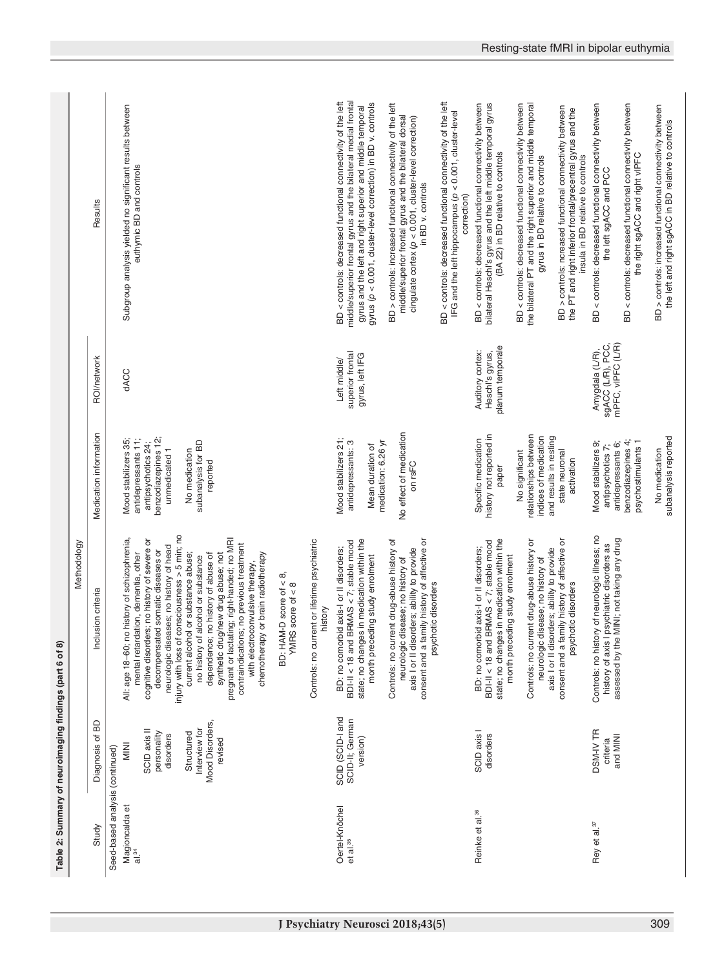|                                                                        | Table 2: Summary of neuroimaging findings (part 6 of 8)                                                       |                                                                                                                                                                                                                                                                                                                                                                                                                                                                                                                                                                                                                                 |                                                                                                                                                              |                                                           |                                                                                                                                                                                                                                                              |
|------------------------------------------------------------------------|---------------------------------------------------------------------------------------------------------------|---------------------------------------------------------------------------------------------------------------------------------------------------------------------------------------------------------------------------------------------------------------------------------------------------------------------------------------------------------------------------------------------------------------------------------------------------------------------------------------------------------------------------------------------------------------------------------------------------------------------------------|--------------------------------------------------------------------------------------------------------------------------------------------------------------|-----------------------------------------------------------|--------------------------------------------------------------------------------------------------------------------------------------------------------------------------------------------------------------------------------------------------------------|
|                                                                        |                                                                                                               | Methodology                                                                                                                                                                                                                                                                                                                                                                                                                                                                                                                                                                                                                     |                                                                                                                                                              |                                                           |                                                                                                                                                                                                                                                              |
| Study                                                                  | BD<br>Diagnosis of                                                                                            | Inclusion criteria                                                                                                                                                                                                                                                                                                                                                                                                                                                                                                                                                                                                              | Medication information                                                                                                                                       | ROI/network                                               | Results                                                                                                                                                                                                                                                      |
| Seed-based analysis (continued)<br>Magioncalda et<br>al. <sup>34</sup> | Mood Disorders,<br>Interview for<br>SCID axis II<br>personality<br>Structured<br>disorders<br>revised<br>MINI | injury with loss of consciousness > 5 min; no<br>no history of schizophrenia,<br>cognitive disorders; no history of severe or<br>pregnant or lactating; right-handed; no MRI<br>contraindications; no previous treatment<br>neurologic diseases; no history of head<br>decompensated somatic diseases or<br>current alcohol or substance abuse;<br>chemotherapy or brain radiotherapy<br>mental retardation, dementia, other<br>dependence; no history of abuse of<br>synthetic drug/new drug abuse; not<br>no history of alcohol or substance<br>with electroconvulsive therapy,<br>BD: HAM-D score of < 8,<br>All: age 18-60; | benzodiazepines 12;<br>antidepressants 11;<br>Mood stabilizers 35;<br>subanalysis for BD<br>antipsychotics 24;<br>unmedicated 1<br>No medication<br>reported | <b>dACC</b>                                               | Subgroup analysis yielded no significant results between<br>euthymic BD and controls                                                                                                                                                                         |
|                                                                        |                                                                                                               | Controls: no current or lifetime psychiatric<br>YMRS score of <8<br>history                                                                                                                                                                                                                                                                                                                                                                                                                                                                                                                                                     |                                                                                                                                                              |                                                           |                                                                                                                                                                                                                                                              |
| Oertel-Knöchel<br>et al. <sup>35</sup>                                 | SCID (SCID-I and<br>SCID-II; German<br>version)                                                               | state; no changes in medication within the<br>BDI-II < 18 and BRMAS < 7; stable mood<br>BD: no comorbid axis-I or II disorders;<br>month preceding study enrolment                                                                                                                                                                                                                                                                                                                                                                                                                                                              | Mood stabilizers 21;<br>antidepressants: 3<br>medication: 6.26 yr<br>Mean duration of                                                                        | superior frontal<br>gyrus, left IFG<br>Left middle/       | BD < controls: decreased functional connectivity of the left<br>middle/superior frontal gyrus and the bilateral medial frontal<br>gyrus (p < 0.001, cluster-level correction) in BD v. controls<br>gyrus and the left and right superior and middle temporal |
|                                                                        |                                                                                                               | family history of affective or<br>Controls: no current drug-abuse history of<br>axis I or II disorders; ability to provide<br>neurologic disease; no history of<br>psychotic disorders<br>consent and a                                                                                                                                                                                                                                                                                                                                                                                                                         | No effect of medication<br>on rsFC                                                                                                                           |                                                           | BD > controls: increased functional connectivity of the left<br>middle/superior frontal gyrus and the bilateral dorsal<br>cingulate cortex (p < 0.001, cluster-level correction)<br>in BD v. controls                                                        |
|                                                                        |                                                                                                               |                                                                                                                                                                                                                                                                                                                                                                                                                                                                                                                                                                                                                                 |                                                                                                                                                              |                                                           | BD < controls: decreased functional connectivity of the left<br>IFG and the left hippocampus (p < 0.001, cluster-level<br>correction)                                                                                                                        |
| Reinke et al. <sup>36</sup>                                            | SCID axis I<br>disorders                                                                                      | state; no changes in medication within the<br>BDI-II < 18 and BRMAS < 7; stable mood<br>BD: no comorbid axis-I or II disorders;<br>month preceding study enrolment                                                                                                                                                                                                                                                                                                                                                                                                                                                              | history not reported in<br>Specific medication<br>paper                                                                                                      | planum temporale<br>Auditory cortex:<br>Heschl's gyrus,   | bilateral Heschl's gyrus and the left middle temporal gyrus<br>BD < controls: decreased functional connectivity between<br>(BA 22) in BD relative to controls                                                                                                |
|                                                                        |                                                                                                               | Controls: no current drug-abuse history or<br>axis I or II disorders; ability to provide<br>neurologic disease; no history of                                                                                                                                                                                                                                                                                                                                                                                                                                                                                                   | relationships between<br>indices of medication<br>and results in resting<br>No significant                                                                   |                                                           | BD < controls: decreased functional connectivity between<br>the bilateral PT and the right superior and middle temporal<br>gyrus in BD relative to controls                                                                                                  |
|                                                                        |                                                                                                               | consent and a family history of affective or<br>psychotic disorders                                                                                                                                                                                                                                                                                                                                                                                                                                                                                                                                                             | state neuronal<br>activation                                                                                                                                 |                                                           | BD > controls: ncreased functional connectivity between<br>the PT and right inferior frontal/precentral gyrus and the<br>insula in BD relative to controls                                                                                                   |
| Rey et al. <sup>37</sup>                                               | DSM-IV TR<br>and MINI<br>criteria                                                                             | Controls: no history of neurologic illness; no<br>assessed by the MINI; not taking any drug<br>history of axis I psychiatric disorders as                                                                                                                                                                                                                                                                                                                                                                                                                                                                                       | Mood stabilizers 9;<br>antidepressants 6;<br>antipsychotics 7                                                                                                | sgACC (L/R), PCC,<br>mPFC, vIPFC (L/R)<br>Amygdala (L/R), | BD < controls: decreased functional connectivity between<br>the left sgACC and PCC                                                                                                                                                                           |
|                                                                        |                                                                                                               |                                                                                                                                                                                                                                                                                                                                                                                                                                                                                                                                                                                                                                 | psychostimulants 1<br>benzodiazepines 4;                                                                                                                     |                                                           | BD < controls: decreased functional connectivity between<br>the right sgACC and right vIPFC                                                                                                                                                                  |
|                                                                        |                                                                                                               |                                                                                                                                                                                                                                                                                                                                                                                                                                                                                                                                                                                                                                 | subanalysis reported<br>No medication                                                                                                                        |                                                           | BD > controls: increased functional connectivity between<br>the left and right sgACC in BD relative to controls                                                                                                                                              |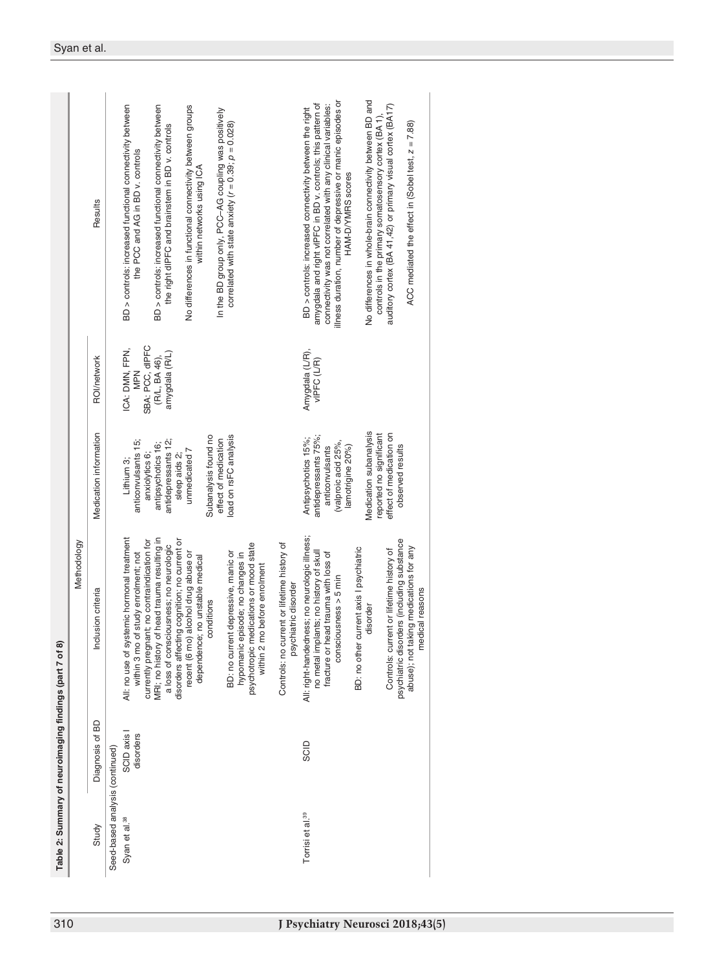|                                 |                          | Methodology                                                                                                                                                 |                                                                                                           |                                                    |                                                                                                                                                                                                                                                                           |
|---------------------------------|--------------------------|-------------------------------------------------------------------------------------------------------------------------------------------------------------|-----------------------------------------------------------------------------------------------------------|----------------------------------------------------|---------------------------------------------------------------------------------------------------------------------------------------------------------------------------------------------------------------------------------------------------------------------------|
| Study                           | 60<br>Diagnosis of       | Inclusion criteria                                                                                                                                          | Medication information                                                                                    | <b>ROI/network</b>                                 | Results                                                                                                                                                                                                                                                                   |
| Seed-based analysis (continued) |                          |                                                                                                                                                             |                                                                                                           |                                                    |                                                                                                                                                                                                                                                                           |
| Syan et al. <sup>38</sup>       | SCID axis I<br>disorders | All: no use of systemic hormonal treatment<br>within 3 mo of study enrolment; not                                                                           | anticonvulsants 15;<br>Lithium 3;                                                                         | ICA: DMN, FPN,<br><b>MPN</b>                       | BD > controls: increased functional connectivity between<br>the PCC and AG in BD v. controls                                                                                                                                                                              |
|                                 |                          | MRI; no history of head trauma resulting in<br>currently pregnant; no contraindication for<br>a loss of consciousness; no neurologic                        | antidepressants 12;<br>antipsychotics 16;<br>anxiolytics 6;                                               | SBA: PCC, dIPFC<br>amygdala (R/L)<br>(R/L, BA 46), | BD > controls: increased functional connectivity between<br>the right dIPFC and brainstem in BD v. controls                                                                                                                                                               |
|                                 |                          | disorders affecting cognition; no current or<br>recent (6 mo) alcohol drug abuse or<br>dependence; no unstable medical                                      | unmedicated 7<br>sleep aids 2;                                                                            |                                                    | No differences in functional connectivity between groups<br>within networks using ICA                                                                                                                                                                                     |
|                                 |                          | conditions                                                                                                                                                  | Subanalysis found no<br>effect of medication                                                              |                                                    | In the BD group only, PCC-AG coupling was positively                                                                                                                                                                                                                      |
|                                 |                          | psychotropic medications or mood state<br>BD: no current depressive, manic or<br>hypomanic episode; no changes in<br>mo before enrolment<br>within 2        | oad on rsFC analysis                                                                                      |                                                    | correlated with state anxiety ( $r = 0.39$ ; $p = 0.028$ )                                                                                                                                                                                                                |
|                                 |                          | Controls: no current or lifetime history of<br>psychiatric disorder                                                                                         |                                                                                                           |                                                    |                                                                                                                                                                                                                                                                           |
| Torrisi et al. <sup>39</sup>    | SCID                     | All: right-handedness; no neurologic illness;<br>no metal implants; no history of skull<br>head trauma with loss of<br>consciousness > 5 min<br>fracture or | antidepressants 75%;<br>Antipsychotics 15%;<br>(valproic acid 25%,<br>lamotrigine 20%)<br>anticonvulsants | Amygdala (L/R),<br>vIPFC (L/R)                     | liness duration, number of depressive or manic episodes or<br>amygdala and right vIPFC in BD v. controls; this pattern of<br>connectivity was not correlated with any clinical variables:<br>BD > controls: increased connectivity between the right<br>HAM-D/YMRS scores |
|                                 |                          | BD: no other current axis I psychiatric                                                                                                                     |                                                                                                           |                                                    |                                                                                                                                                                                                                                                                           |
|                                 |                          | disorder                                                                                                                                                    | Medication subanalysis<br>reported no significant                                                         |                                                    | No differences in whole-brain connectivity between BD and<br>controls in the primary somatosensory cortex (BA 1),                                                                                                                                                         |
|                                 |                          | psychiatric disorders (including substance<br>Controls: current or lifetime history of                                                                      | effect of medication on<br>observed results                                                               |                                                    | auditory cortex (BA 41,42) or primary visual cortex (BA17)                                                                                                                                                                                                                |
|                                 |                          | abuse); not taking medications for any<br>medical reasons                                                                                                   |                                                                                                           |                                                    | ACC mediated the effect in (Sobel test, $z = 7.88$ )                                                                                                                                                                                                                      |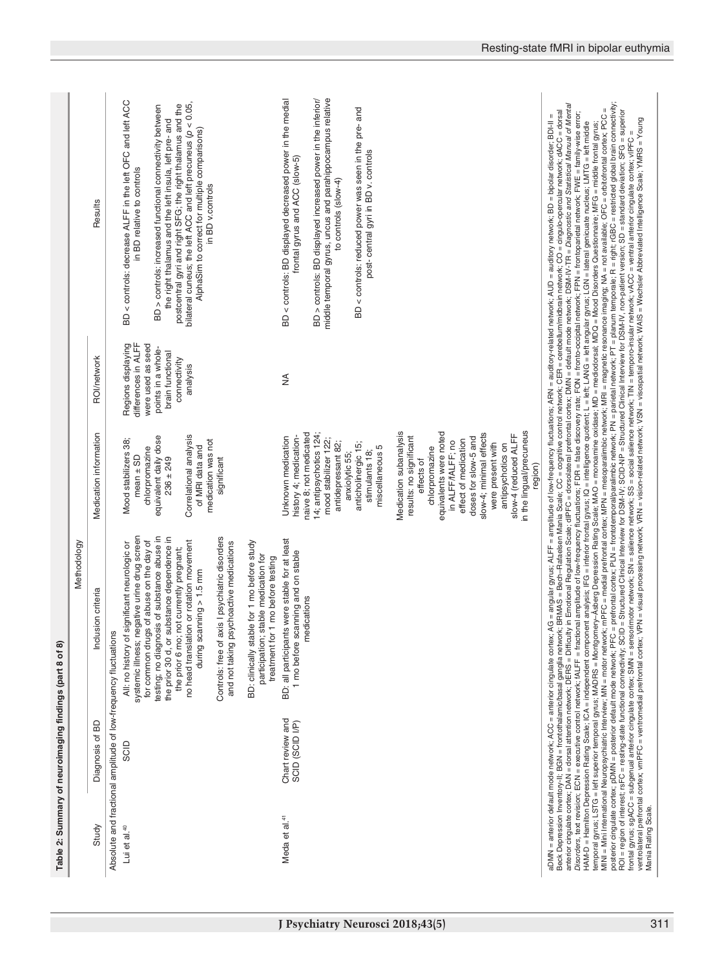|                           | Table 2: Summary of neuroimaging findings (part 8 of 8)                |                                                                                                                                            |                                                         |                                                                |                                                                                                                                                                                                                                                                                                                                                                                                                                                                                                                                                                                                                                                                                                                                                                                                                                                                                                                                                                                                                                                                                                                                                                                                                                                                                                                                                                                                                                                                                                                                                                                                                                                                                                                                                                                                                    |
|---------------------------|------------------------------------------------------------------------|--------------------------------------------------------------------------------------------------------------------------------------------|---------------------------------------------------------|----------------------------------------------------------------|--------------------------------------------------------------------------------------------------------------------------------------------------------------------------------------------------------------------------------------------------------------------------------------------------------------------------------------------------------------------------------------------------------------------------------------------------------------------------------------------------------------------------------------------------------------------------------------------------------------------------------------------------------------------------------------------------------------------------------------------------------------------------------------------------------------------------------------------------------------------------------------------------------------------------------------------------------------------------------------------------------------------------------------------------------------------------------------------------------------------------------------------------------------------------------------------------------------------------------------------------------------------------------------------------------------------------------------------------------------------------------------------------------------------------------------------------------------------------------------------------------------------------------------------------------------------------------------------------------------------------------------------------------------------------------------------------------------------------------------------------------------------------------------------------------------------|
|                           |                                                                        | Methodology                                                                                                                                |                                                         |                                                                |                                                                                                                                                                                                                                                                                                                                                                                                                                                                                                                                                                                                                                                                                                                                                                                                                                                                                                                                                                                                                                                                                                                                                                                                                                                                                                                                                                                                                                                                                                                                                                                                                                                                                                                                                                                                                    |
| Study                     | Diagnosis of BD                                                        | Inclusion criteria                                                                                                                         | Medication information                                  | ROI/network                                                    | Results                                                                                                                                                                                                                                                                                                                                                                                                                                                                                                                                                                                                                                                                                                                                                                                                                                                                                                                                                                                                                                                                                                                                                                                                                                                                                                                                                                                                                                                                                                                                                                                                                                                                                                                                                                                                            |
|                           |                                                                        | Absolute and fractional amplitude of low-frequency fluctuations                                                                            |                                                         |                                                                |                                                                                                                                                                                                                                                                                                                                                                                                                                                                                                                                                                                                                                                                                                                                                                                                                                                                                                                                                                                                                                                                                                                                                                                                                                                                                                                                                                                                                                                                                                                                                                                                                                                                                                                                                                                                                    |
| Lui et al. <sup>40</sup>  | SCID                                                                   | negative urine drug screen<br>for common drugs of abuse on the day of<br>All: no history of significant neurologic or<br>systemic illness; | Mood stabilizers 38;<br>chlorpromazine<br>mean $\pm$ SD | differences in ALFF<br>Regions displaying<br>were used as seed | BD < controls: decrease ALFF in the left OFC and left ACC<br>in BD relative to controls                                                                                                                                                                                                                                                                                                                                                                                                                                                                                                                                                                                                                                                                                                                                                                                                                                                                                                                                                                                                                                                                                                                                                                                                                                                                                                                                                                                                                                                                                                                                                                                                                                                                                                                            |
|                           |                                                                        | testing; no diagnosis of substance abuse in<br>the prior 30 d, or substance dependence in                                                  | equivalent daily dose<br>$236 \pm 249$                  | points in a whole-<br>brain functional                         | BD > controls: increased functional connectivity between<br>the right thalamus and the left insula, left pre- and                                                                                                                                                                                                                                                                                                                                                                                                                                                                                                                                                                                                                                                                                                                                                                                                                                                                                                                                                                                                                                                                                                                                                                                                                                                                                                                                                                                                                                                                                                                                                                                                                                                                                                  |
|                           |                                                                        | no head translation or rotation movement<br>the prior 6 mo; not currently pregnant;<br>during scanning $> 1.5$ mm                          | Correlational analysis<br>of MRI data and               | connectivity<br>analysis                                       | bilateral cuneus; the left ACC and left precuneus ( $p < 0.05$ ,<br>postcentral gyri and right SFG; the right thalamus and the<br>AlphaSim to correct for multiple comparisons)                                                                                                                                                                                                                                                                                                                                                                                                                                                                                                                                                                                                                                                                                                                                                                                                                                                                                                                                                                                                                                                                                                                                                                                                                                                                                                                                                                                                                                                                                                                                                                                                                                    |
|                           |                                                                        | axis I psychiatric disorders<br>and not taking psychoactive medications<br>Controls: free of                                               | medication was not<br>significant                       |                                                                | in BD v.controls                                                                                                                                                                                                                                                                                                                                                                                                                                                                                                                                                                                                                                                                                                                                                                                                                                                                                                                                                                                                                                                                                                                                                                                                                                                                                                                                                                                                                                                                                                                                                                                                                                                                                                                                                                                                   |
|                           |                                                                        | BD: clinically stable for 1 mo before study<br>participation; stable medication for<br>treatment for 1 mo before testing                   |                                                         |                                                                |                                                                                                                                                                                                                                                                                                                                                                                                                                                                                                                                                                                                                                                                                                                                                                                                                                                                                                                                                                                                                                                                                                                                                                                                                                                                                                                                                                                                                                                                                                                                                                                                                                                                                                                                                                                                                    |
| Meda et al. <sup>41</sup> | Chart review and<br>SCID (SCID I/P)                                    | BD: all participants were stable for at least<br>1 mo before scanning and on stable                                                        | history 4; medication-<br>Unknown medication            | ≸                                                              | BD < controls: BD displayed decreased power in the medial<br>frontal gyrus and ACC (slow-5)                                                                                                                                                                                                                                                                                                                                                                                                                                                                                                                                                                                                                                                                                                                                                                                                                                                                                                                                                                                                                                                                                                                                                                                                                                                                                                                                                                                                                                                                                                                                                                                                                                                                                                                        |
|                           |                                                                        | medications                                                                                                                                | 14; antipsychotics 124;<br>naive 8; not medicated       |                                                                | BD > controls: BD displayed increased power in the inferior/                                                                                                                                                                                                                                                                                                                                                                                                                                                                                                                                                                                                                                                                                                                                                                                                                                                                                                                                                                                                                                                                                                                                                                                                                                                                                                                                                                                                                                                                                                                                                                                                                                                                                                                                                       |
|                           |                                                                        |                                                                                                                                            | mood stabilizer 122;<br>antidepressant 82;              |                                                                | middle temporal gyrus, uncus and parahippocampus relative<br>to controls (slow-4)                                                                                                                                                                                                                                                                                                                                                                                                                                                                                                                                                                                                                                                                                                                                                                                                                                                                                                                                                                                                                                                                                                                                                                                                                                                                                                                                                                                                                                                                                                                                                                                                                                                                                                                                  |
|                           |                                                                        |                                                                                                                                            | anticholinergic 15;<br>anxiolytic 55;                   |                                                                | BD < controls: reduced power was seen in the pre- and                                                                                                                                                                                                                                                                                                                                                                                                                                                                                                                                                                                                                                                                                                                                                                                                                                                                                                                                                                                                                                                                                                                                                                                                                                                                                                                                                                                                                                                                                                                                                                                                                                                                                                                                                              |
|                           |                                                                        |                                                                                                                                            | miscellaneous 5<br>stimulants 18;                       |                                                                | post-central gyri in BD v. controls                                                                                                                                                                                                                                                                                                                                                                                                                                                                                                                                                                                                                                                                                                                                                                                                                                                                                                                                                                                                                                                                                                                                                                                                                                                                                                                                                                                                                                                                                                                                                                                                                                                                                                                                                                                |
|                           |                                                                        |                                                                                                                                            | Medication subanalysis                                  |                                                                |                                                                                                                                                                                                                                                                                                                                                                                                                                                                                                                                                                                                                                                                                                                                                                                                                                                                                                                                                                                                                                                                                                                                                                                                                                                                                                                                                                                                                                                                                                                                                                                                                                                                                                                                                                                                                    |
|                           |                                                                        |                                                                                                                                            | results: no significant                                 |                                                                |                                                                                                                                                                                                                                                                                                                                                                                                                                                                                                                                                                                                                                                                                                                                                                                                                                                                                                                                                                                                                                                                                                                                                                                                                                                                                                                                                                                                                                                                                                                                                                                                                                                                                                                                                                                                                    |
|                           |                                                                        |                                                                                                                                            | chlorpromazine<br>effects of                            |                                                                |                                                                                                                                                                                                                                                                                                                                                                                                                                                                                                                                                                                                                                                                                                                                                                                                                                                                                                                                                                                                                                                                                                                                                                                                                                                                                                                                                                                                                                                                                                                                                                                                                                                                                                                                                                                                                    |
|                           |                                                                        |                                                                                                                                            | equivalents were noted<br>in ALFF/fALFF; no             |                                                                |                                                                                                                                                                                                                                                                                                                                                                                                                                                                                                                                                                                                                                                                                                                                                                                                                                                                                                                                                                                                                                                                                                                                                                                                                                                                                                                                                                                                                                                                                                                                                                                                                                                                                                                                                                                                                    |
|                           |                                                                        |                                                                                                                                            | doses for slow-5 and<br>effect of medication            |                                                                |                                                                                                                                                                                                                                                                                                                                                                                                                                                                                                                                                                                                                                                                                                                                                                                                                                                                                                                                                                                                                                                                                                                                                                                                                                                                                                                                                                                                                                                                                                                                                                                                                                                                                                                                                                                                                    |
|                           |                                                                        |                                                                                                                                            | slow-4; minimal effects                                 |                                                                |                                                                                                                                                                                                                                                                                                                                                                                                                                                                                                                                                                                                                                                                                                                                                                                                                                                                                                                                                                                                                                                                                                                                                                                                                                                                                                                                                                                                                                                                                                                                                                                                                                                                                                                                                                                                                    |
|                           |                                                                        |                                                                                                                                            | were present with<br>antipsychotics on                  |                                                                |                                                                                                                                                                                                                                                                                                                                                                                                                                                                                                                                                                                                                                                                                                                                                                                                                                                                                                                                                                                                                                                                                                                                                                                                                                                                                                                                                                                                                                                                                                                                                                                                                                                                                                                                                                                                                    |
|                           |                                                                        |                                                                                                                                            | slow-4 (reduced ALFF                                    |                                                                |                                                                                                                                                                                                                                                                                                                                                                                                                                                                                                                                                                                                                                                                                                                                                                                                                                                                                                                                                                                                                                                                                                                                                                                                                                                                                                                                                                                                                                                                                                                                                                                                                                                                                                                                                                                                                    |
|                           |                                                                        |                                                                                                                                            | in the lingual/precuneus<br>region)                     |                                                                |                                                                                                                                                                                                                                                                                                                                                                                                                                                                                                                                                                                                                                                                                                                                                                                                                                                                                                                                                                                                                                                                                                                                                                                                                                                                                                                                                                                                                                                                                                                                                                                                                                                                                                                                                                                                                    |
| Mania Rating Scale.       | posterior cingulate cortex; pDMN = posterior default mode network; PFC |                                                                                                                                            |                                                         |                                                                | : = prefrontal cortex; PLN = frontotemporal/paralimbic network; PN = parietal network; PT = planum temporale; R = right; rGBC = restricted global brain connectivity;<br>anterior cingulate cortex; DAN = dorsal attention network; DERS = Difficulty in Emotional Regulation Scale; dIPFC = dorsolateral prefrontal cortex; DMN = default mode network; DSM-IV-TR = <i>Diagnostic and Statistical Manual</i><br>MINI – Mini International Neuropsychiatric Interview, MN = motor network; mPFC = medial prefrontal cortex; MPN = mesoparalimbic network; MRI = magnetic resonance imaging; NA = not available; OFC = orbtofrontal cortex; PCC<br>ROI = region of interest; rsFC = resting-state functional connectivity; SCID = Structured Clinical Interview for DSM-IV, SCID-NP = Structured Clinical Interview for DSM-IV, non-patient version; SD = standard deviation; SFG<br>aDMN = anterior default mode network; ACC = anterior cingulate cortex; AG = angular gyrus; ALFF = amplitude of low-frequency fluctuations; ARN = auditory-related network; AUD = auditory network; BD = bipolar disorder; BDI<br>Disorders, text revision; ECN = executive control network; fALFF = fractional amplitude of low-frequency fuctuations; FDR = false discovery rate; FON = fronto-occipital network; FPN = frontoparietal network; FWE = family-w<br>frontal gyrus; sgACC = subgenual anterior cingulate cortex; SMN = sensorimotor network; SN = salience network; SN = social salience network; TIN = temporo-insular network; vACC = ventral anterior cingulate cortex; vIPFC<br>HAM-D = Hamilton Depression Rating Scale; ICA = independent component analysis; IFG = inteirior frontal gynus; IQ = intelligence quotient; L = left; LANG = left angular gynus; LGN = lateral genicuate nucleus; LMTG = left |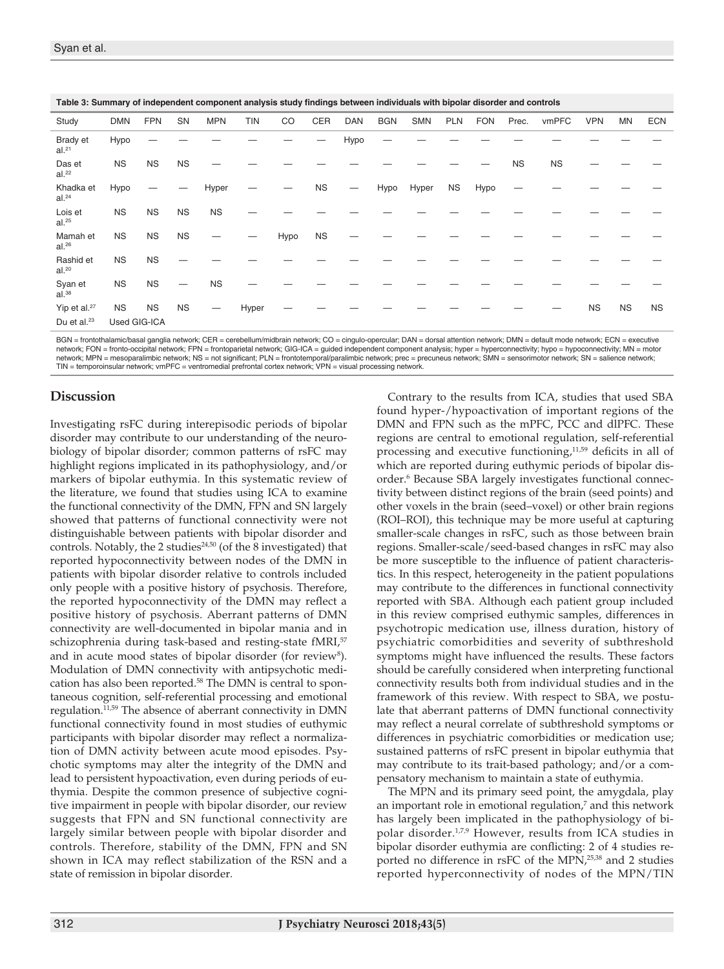| Study                          | <b>DMN</b> | <b>FPN</b>   | SN        | <b>MPN</b> | <b>TIN</b> | CO   | CER       | <b>DAN</b> | <b>BGN</b> | <b>SMN</b> | <b>PLN</b> | <b>FON</b> | Prec.     | vmPFC     | <b>VPN</b> | MN        | <b>ECN</b> |
|--------------------------------|------------|--------------|-----------|------------|------------|------|-----------|------------|------------|------------|------------|------------|-----------|-----------|------------|-----------|------------|
| Brady et<br>al. <sup>21</sup>  | Hypo       |              |           |            |            |      |           | Hypo       |            |            |            |            |           |           |            |           |            |
| Das et<br>al. <sup>22</sup>    | <b>NS</b>  | <b>NS</b>    | <b>NS</b> |            |            |      |           |            |            |            |            |            | <b>NS</b> | <b>NS</b> |            |           |            |
| Khadka et<br>al. <sup>24</sup> | Hypo       |              |           | Hyper      |            |      | <b>NS</b> | —          | Hypo       | Hyper      | <b>NS</b>  | Hypo       |           |           |            |           |            |
| Lois et<br>al. <sup>25</sup>   | <b>NS</b>  | <b>NS</b>    | <b>NS</b> | <b>NS</b>  |            |      |           |            |            |            |            |            |           |           |            |           |            |
| Mamah et<br>al. <sup>26</sup>  | <b>NS</b>  | <b>NS</b>    | <b>NS</b> |            |            | Hypo | <b>NS</b> |            |            |            |            |            |           |           |            |           |            |
| Rashid et<br>al. <sup>20</sup> | <b>NS</b>  | <b>NS</b>    |           |            |            |      |           |            |            |            |            |            |           |           |            |           |            |
| Syan et<br>$al.^{38}$          | <b>NS</b>  | <b>NS</b>    | —         | <b>NS</b>  |            |      |           |            |            |            |            |            |           |           |            |           |            |
| Yip et al. <sup>27</sup>       | <b>NS</b>  | <b>NS</b>    | <b>NS</b> | —          | Hyper      |      |           |            |            |            |            |            |           |           | <b>NS</b>  | <b>NS</b> | <b>NS</b>  |
| Du et al. <sup>23</sup>        |            | Used GIG-ICA |           |            |            |      |           |            |            |            |            |            |           |           |            |           |            |

BGN = frontothalamic/basal ganglia network; CER = cerebellum/midbrain network; CO = cingulo-opercular; DAN = dorsal attention network; DMN = default mode network; ECN = executive network; FON = fronto-occipital network; FPN = frontoparietal network; GIG-ICA = guided independent component analysis; hyper = hyperconnectivity; hypo = hypoconnectivity; MN = motor network; MPN = mesoparalimbic network; NS = not significant; PLN = frontotemporal/paralimbic network; prec = precuneus network; SMN = sensorimotor network; SN = salience network; TIN = temporoinsular network; vmPFC = ventromedial prefrontal cortex network; VPN = visual processing network.

## **Discussion**

Investigating rsFC during interepisodic periods of bipolar disorder may contribute to our understanding of the neurobiology of bipolar disorder; common patterns of rsFC may highlight regions implicated in its pathophysiology, and/or markers of bipolar euthymia. In this systematic review of the literature, we found that studies using ICA to examine the functional connectivity of the DMN, FPN and SN largely showed that patterns of functional connectivity were not distinguishable between patients with bipolar disorder and controls. Notably, the 2 studies $24,50$  (of the 8 investigated) that reported hypoconnectivity between nodes of the DMN in patients with bipolar disorder relative to controls included only people with a positive history of psychosis. Therefore, the reported hypoconnectivity of the DMN may reflect a positive history of psychosis. Aberrant patterns of DMN connectivity are well-documented in bipolar mania and in schizophrenia during task-based and resting-state fMRI,<sup>57</sup> and in acute mood states of bipolar disorder (for review<sup>8</sup>). Modulation of DMN connectivity with antipsychotic medication has also been reported.<sup>58</sup> The DMN is central to spontaneous cognition, self-referential processing and emotional regulation.11,59 The absence of aberrant connectivity in DMN functional connectivity found in most studies of euthymic participants with bipolar disorder may reflect a normalization of DMN activity between acute mood episodes. Psychotic symptoms may alter the integrity of the DMN and lead to persistent hypoactivation, even during periods of euthymia. Despite the common presence of subjective cognitive impairment in people with bipolar disorder, our review suggests that FPN and SN functional connectivity are largely similar between people with bipolar disorder and controls. Therefore, stability of the DMN, FPN and SN shown in ICA may reflect stabilization of the RSN and a state of remission in bipolar disorder.

Contrary to the results from ICA, studies that used SBA found hyper-/hypoactivation of important regions of the DMN and FPN such as the mPFC, PCC and dlPFC. These regions are central to emotional regulation, self-referential processing and executive functioning,<sup>11,59</sup> deficits in all of which are reported during euthymic periods of bipolar disorder.<sup>6</sup> Because SBA largely investigates functional connectivity between distinct regions of the brain (seed points) and other voxels in the brain (seed–voxel) or other brain regions (ROI–ROI), this technique may be more useful at capturing smaller-scale changes in rsFC, such as those between brain regions. Smaller-scale/seed-based changes in rsFC may also be more susceptible to the influence of patient characteristics. In this respect, heterogeneity in the patient populations may contribute to the differences in functional connectivity reported with SBA. Although each patient group included in this review comprised euthymic samples, differences in psychotropic medication use, illness duration, history of psychiatric comorbidities and severity of subthreshold symptoms might have influenced the results. These factors should be carefully considered when interpreting functional connectivity results both from individual studies and in the framework of this review. With respect to SBA, we postulate that aberrant patterns of DMN functional connectivity may reflect a neural correlate of subthreshold symptoms or differences in psychiatric comorbidities or medication use; sustained patterns of rsFC present in bipolar euthymia that may contribute to its trait-based pathology; and/or a compensatory mechanism to maintain a state of euthymia.

The MPN and its primary seed point, the amygdala, play an important role in emotional regulation,<sup>7</sup> and this network has largely been implicated in the pathophysiology of bipolar disorder.<sup>1,7,9</sup> However, results from ICA studies in bipolar disorder euthymia are conflicting: 2 of 4 studies reported no difference in rsFC of the MPN,<sup>25,38</sup> and 2 studies reported hyperconnectivity of nodes of the MPN/TIN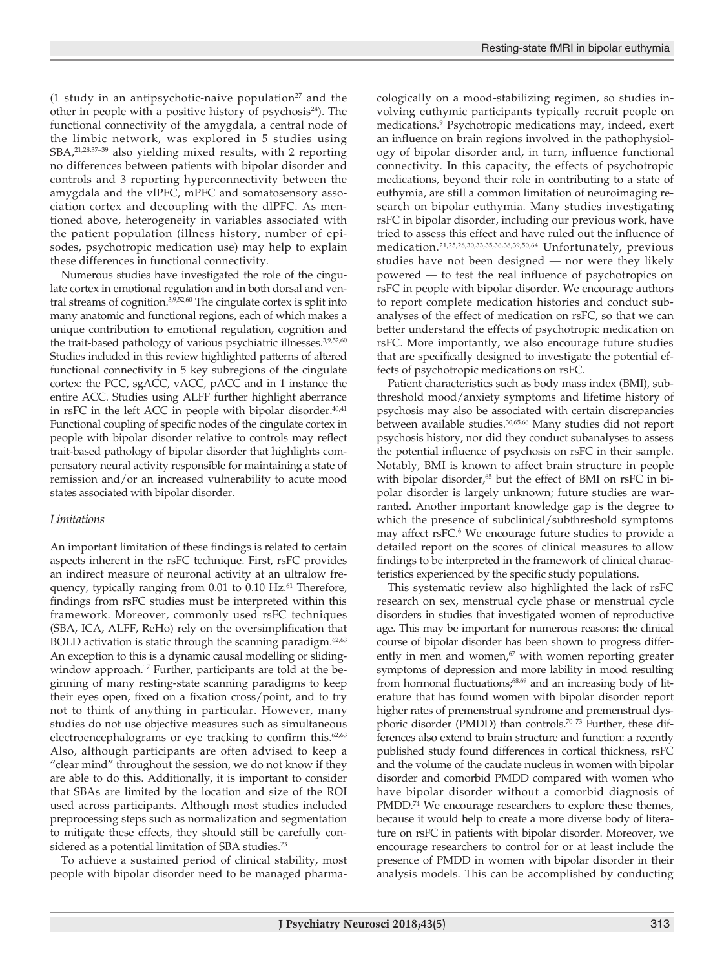(1 study in an antipsychotic-naive population $27$  and the other in people with a positive history of psychosis<sup>24</sup>). The functional connectivity of the amygdala, a central node of the limbic network, was explored in 5 studies using SBA,<sup>21,28,37-39</sup> also yielding mixed results, with 2 reporting no differences between patients with bipolar disorder and controls and 3 reporting hyperconnectivity between the amygdala and the vlPFC, mPFC and somatosensory association cortex and decoupling with the dlPFC. As mentioned above, heterogeneity in variables associated with the patient population (illness history, number of episodes, psychotropic medication use) may help to explain these differences in functional connectivity.

Numerous studies have investigated the role of the cingulate cortex in emotional regulation and in both dorsal and ventral streams of cognition.3,9,52,60 The cingulate cortex is split into many anatomic and functional regions, each of which makes a unique contribution to emotional regulation, cognition and the trait-based pathology of various psychiatric illnesses.<sup>3,9,52,60</sup> Studies included in this review highlighted patterns of altered functional connectivity in 5 key subregions of the cingulate cortex: the PCC, sgACC, vACC, pACC and in 1 instance the entire ACC. Studies using ALFF further highlight aberrance in rsFC in the left ACC in people with bipolar disorder.<sup>40,41</sup> Functional coupling of specific nodes of the cingulate cortex in people with bipolar disorder relative to controls may reflect trait-based pathology of bipolar disorder that highlights compensatory neural activity responsible for maintaining a state of remission and/or an increased vulnerability to acute mood states associated with bipolar disorder.

#### *Limitations*

An important limitation of these findings is related to certain aspects inherent in the rsFC technique. First, rsFC provides an indirect measure of neuronal activity at an ultralow frequency, typically ranging from 0.01 to 0.10 Hz.<sup>61</sup> Therefore, findings from rsFC studies must be interpreted within this framework. Moreover, commonly used rsFC techniques (SBA, ICA, ALFF, ReHo) rely on the oversimplification that BOLD activation is static through the scanning paradigm. $62,63$ An exception to this is a dynamic causal modelling or slidingwindow approach.<sup>17</sup> Further, participants are told at the beginning of many resting-state scanning paradigms to keep their eyes open, fixed on a fixation cross/point, and to try not to think of anything in particular. However, many studies do not use objective measures such as simultaneous electroencephalograms or eye tracking to confirm this.<sup>62,63</sup> Also, although participants are often advised to keep a "clear mind" throughout the session, we do not know if they are able to do this. Additionally, it is important to consider that SBAs are limited by the location and size of the ROI used across participants. Although most studies included preprocessing steps such as normalization and segmentation to mitigate these effects, they should still be carefully considered as a potential limitation of SBA studies.<sup>23</sup>

To achieve a sustained period of clinical stability, most people with bipolar disorder need to be managed pharmacologically on a mood-stabilizing regimen, so studies involving euthymic participants typically recruit people on medications.9 Psychotropic medications may, indeed, exert an influence on brain regions involved in the pathophysiology of bipolar disorder and, in turn, influence functional connectivity. In this capacity, the effects of psychotropic medications, beyond their role in contributing to a state of euthymia, are still a common limitation of neuroimaging research on bipolar euthymia. Many studies investigating rsFC in bipolar disorder, including our previous work, have tried to assess this effect and have ruled out the influence of medication.21,25,28,30,33,35,36,38,39,50,64 Unfortunately, previous studies have not been designed — nor were they likely powered — to test the real influence of psychotropics on rsFC in people with bipolar disorder. We encourage authors to report complete medication histories and conduct subanalyses of the effect of medication on rsFC, so that we can better understand the effects of psychotropic medication on rsFC. More importantly, we also encourage future studies that are specifically designed to investigate the potential effects of psychotropic medications on rsFC.

Patient characteristics such as body mass index (BMI), subthreshold mood/anxiety symptoms and lifetime history of psychosis may also be associated with certain discrepancies between available studies.30,65,66 Many studies did not report psychosis history, nor did they conduct subanalyses to assess the potential influence of psychosis on rsFC in their sample. Notably, BMI is known to affect brain structure in people with bipolar disorder,<sup>65</sup> but the effect of BMI on rsFC in bipolar disorder is largely unknown; future studies are warranted. Another important knowledge gap is the degree to which the presence of subclinical/subthreshold symptoms may affect rsFC.6 We encourage future studies to provide a detailed report on the scores of clinical measures to allow findings to be interpreted in the framework of clinical characteristics experienced by the specific study populations.

This systematic review also highlighted the lack of rsFC research on sex, menstrual cycle phase or menstrual cycle disorders in studies that investigated women of reproductive age. This may be important for numerous reasons: the clinical course of bipolar disorder has been shown to progress differently in men and women, $67$  with women reporting greater symptoms of depression and more lability in mood resulting from hormonal fluctuations;<sup>68,69</sup> and an increasing body of literature that has found women with bipolar disorder report higher rates of premenstrual syndrome and premenstrual dysphoric disorder (PMDD) than controls.<sup>70-73</sup> Further, these differences also extend to brain structure and function: a recently published study found differences in cortical thickness, rsFC and the volume of the caudate nucleus in women with bipolar disorder and comorbid PMDD compared with women who have bipolar disorder without a comorbid diagnosis of PMDD.<sup>74</sup> We encourage researchers to explore these themes, because it would help to create a more diverse body of literature on rsFC in patients with bipolar disorder. Moreover, we encourage researchers to control for or at least include the presence of PMDD in women with bipolar disorder in their analysis models. This can be accomplished by conducting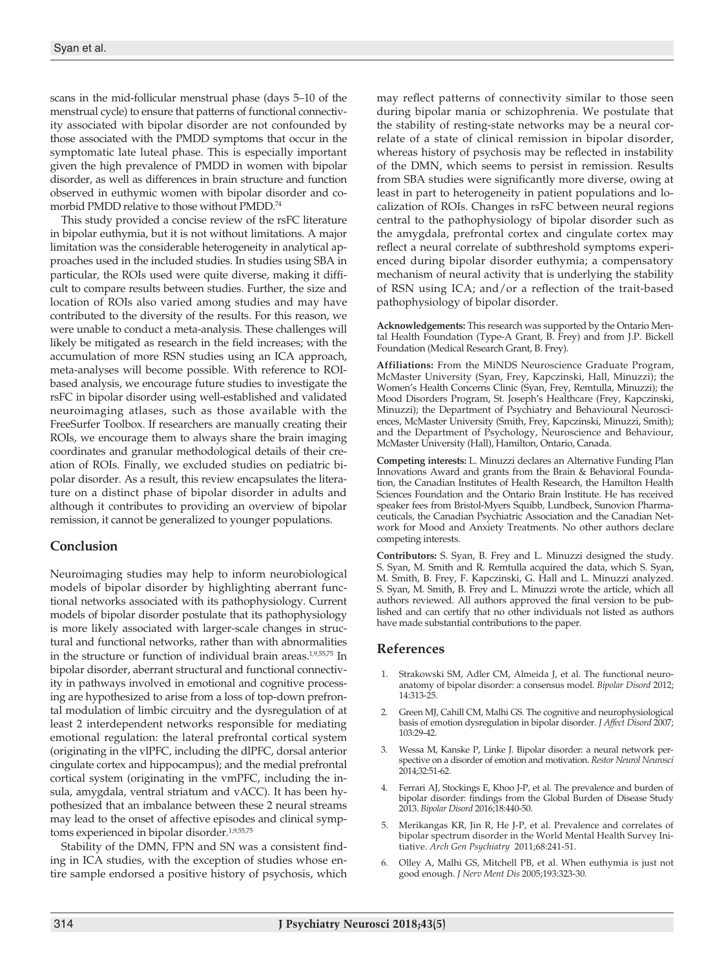scans in the mid-follicular menstrual phase (days 5–10 of the menstrual cycle) to ensure that patterns of functional connectivity associated with bipolar disorder are not confounded by those associated with the PMDD symptoms that occur in the symptomatic late luteal phase. This is especially important given the high prevalence of PMDD in women with bipolar disorder, as well as differences in brain structure and function observed in euthymic women with bipolar disorder and comorbid PMDD relative to those without PMDD.74

This study provided a concise review of the rsFC literature in bipolar euthymia, but it is not without limitations. A major limitation was the considerable heterogeneity in analytical approaches used in the included studies. In studies using SBA in particular, the ROIs used were quite diverse, making it difficult to compare results between studies. Further, the size and location of ROIs also varied among studies and may have contributed to the diversity of the results. For this reason, we were unable to conduct a meta-analysis. These challenges will likely be mitigated as research in the field increases; with the accumulation of more RSN studies using an ICA approach, meta-analyses will become possible. With reference to ROIbased analysis, we encourage future studies to investigate the rsFC in bipolar disorder using well-established and validated neuroimaging atlases, such as those available with the FreeSurfer Toolbox. If researchers are manually creating their ROIs, we encourage them to always share the brain imaging coordinates and granular methodological details of their creation of ROIs. Finally, we excluded studies on pediatric bipolar disorder. As a result, this review encapsulates the literature on a distinct phase of bipolar disorder in adults and although it contributes to providing an overview of bipolar remission, it cannot be generalized to younger populations.

## **Conclusion**

Neuroimaging studies may help to inform neurobiological models of bipolar disorder by highlighting aberrant functional networks associated with its pathophysiology. Current models of bipolar disorder postulate that its pathophysiology is more likely associated with larger-scale changes in structural and functional networks, rather than with abnormalities in the structure or function of individual brain areas.<sup>1,9,55,75</sup> In bipolar disorder, aberrant structural and functional connectivity in pathways involved in emotional and cognitive processing are hypothesized to arise from a loss of top-down prefrontal modulation of limbic circuitry and the dysregulation of at least 2 interdependent networks responsible for mediating emotional regulation: the lateral prefrontal cortical system (originating in the vlPFC, including the dlPFC, dorsal anterior cingulate cortex and hippocampus); and the medial prefrontal cortical system (originating in the vmPFC, including the insula, amygdala, ventral striatum and vACC). It has been hypothesized that an imbalance between these 2 neural streams may lead to the onset of affective episodes and clinical symptoms experienced in bipolar disorder.<sup>1,9,55,75</sup>

Stability of the DMN, FPN and SN was a consistent finding in ICA studies, with the exception of studies whose entire sample endorsed a positive history of psychosis, which may reflect patterns of connectivity similar to those seen during bipolar mania or schizophrenia. We postulate that the stability of resting-state networks may be a neural correlate of a state of clinical remission in bipolar disorder, whereas history of psychosis may be reflected in instability of the DMN, which seems to persist in remission. Results from SBA studies were significantly more diverse, owing at least in part to heterogeneity in patient populations and localization of ROIs. Changes in rsFC between neural regions central to the pathophysiology of bipolar disorder such as the amygdala, prefrontal cortex and cingulate cortex may reflect a neural correlate of subthreshold symptoms experienced during bipolar disorder euthymia; a compensatory mechanism of neural activity that is underlying the stability of RSN using ICA; and/or a reflection of the trait-based pathophysiology of bipolar disorder.

**Acknowledgements:** This research was supported by the Ontario Mental Health Foundation (Type-A Grant, B. Frey) and from J.P. Bickell Foundation (Medical Research Grant, B. Frey).

**Affiliations:** From the MiNDS Neuroscience Graduate Program, McMaster University (Syan, Frey, Kapczinski, Hall, Minuzzi); the Women's Health Concerns Clinic (Syan, Frey, Remtulla, Minuzzi); the Mood Disorders Program, St. Joseph's Healthcare (Frey, Kapczinski, Minuzzi); the Department of Psychiatry and Behavioural Neurosciences, McMaster University (Smith, Frey, Kapczinski, Minuzzi, Smith); and the Department of Psychology, Neuroscience and Behaviour, McMaster University (Hall), Hamilton, Ontario, Canada.

**Competing interests:** L. Minuzzi declares an Alternative Funding Plan Innovations Award and grants from the Brain & Behavioral Foundation, the Canadian Institutes of Health Research, the Hamilton Health Sciences Foundation and the Ontario Brain Institute. He has received speaker fees from Bristol-Myers Squibb, Lundbeck, Sunovion Pharmaceuticals, the Canadian Psychiatric Association and the Canadian Network for Mood and Anxiety Treatments. No other authors declare competing interests.

**Contributors:** S. Syan, B. Frey and L. Minuzzi designed the study. S. Syan, M. Smith and R. Remtulla acquired the data, which S. Syan, M. Smith, B. Frey, F. Kapczinski, G. Hall and L. Minuzzi analyzed. S. Syan, M. Smith, B. Frey and L. Minuzzi wrote the article, which all authors reviewed. All authors approved the final version to be published and can certify that no other individuals not listed as authors have made substantial contributions to the paper.

## **References**

- Strakowski SM, Adler CM, Almeida J, et al. The functional neuroanatomy of bipolar disorder: a consensus model. *Bipolar Disord* 2012; 14:313-25.
- 2. Green MJ, Cahill CM, Malhi GS. The cognitive and neurophysiological basis of emotion dysregulation in bipolar disorder. *J Affect Disord* 2007; 103:29-42.
- 3. Wessa M, Kanske P, Linke J. Bipolar disorder: a neural network perspective on a disorder of emotion and motivation. *Restor Neurol Neurosci* 2014;32:51-62.
- 4. Ferrari AJ, Stockings E, Khoo J-P, et al. The prevalence and burden of bipolar disorder: findings from the Global Burden of Disease Study 2013. *Bipolar Disord* 2016;18:440-50.
- 5. Merikangas KR, Jin R, He J-P, et al. Prevalence and correlates of bipolar spectrum disorder in the World Mental Health Survey Initiative. *Arch Gen Psychiatry* 2011;68:241-51.
- 6. Olley A, Malhi GS, Mitchell PB, et al. When euthymia is just not good enough. *J Nerv Ment Dis* 2005;193:323-30.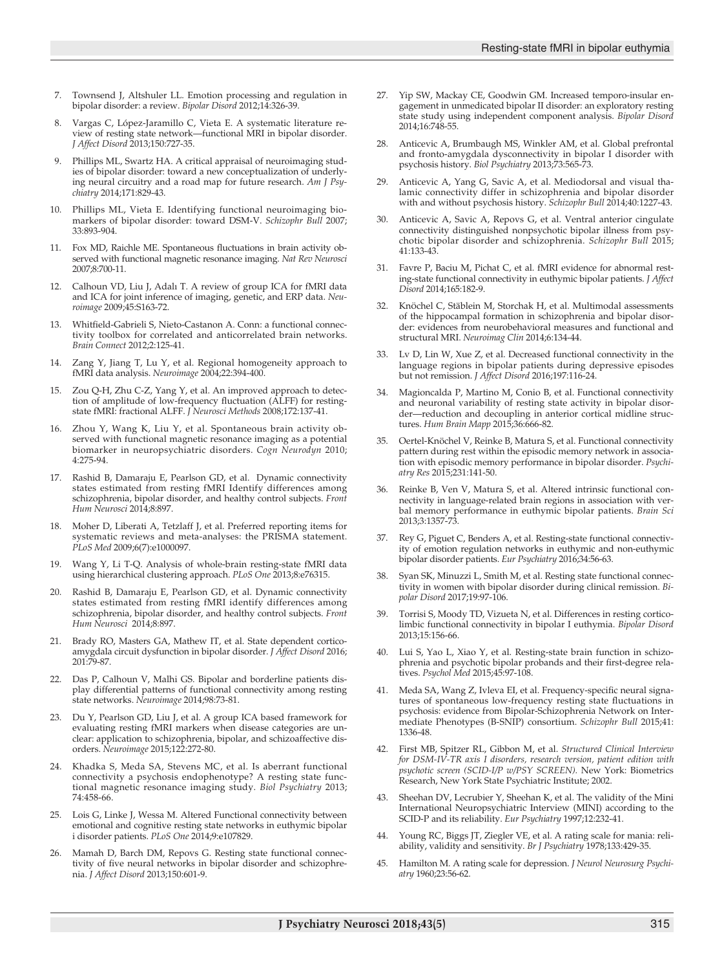- Townsend J, Altshuler LL. Emotion processing and regulation in bipolar disorder: a review. *Bipolar Disord* 2012;14:326-39.
- 8. Vargas C, López-Jaramillo C, Vieta E. A systematic literature review of resting state network—functional MRI in bipolar disorder. *J Affect Disord* 2013;150:727-35.
- Phillips ML, Swartz HA. A critical appraisal of neuroimaging studies of bipolar disorder: toward a new conceptualization of underlying neural circuitry and a road map for future research. *Am J Psychiatry* 2014;171:829-43.
- 10. Phillips ML, Vieta E. Identifying functional neuroimaging biomarkers of bipolar disorder: toward DSM-V. *Schizophr Bull* 2007; 33:893-904.
- 11. Fox MD, Raichle ME. Spontaneous fluctuations in brain activity observed with functional magnetic resonance imaging. *Nat Rev Neurosci* 2007;8:700-11.
- 12. Calhoun VD, Liu J, Adalı T. A review of group ICA for fMRI data and ICA for joint inference of imaging, genetic, and ERP data. *Neuroimage* 2009;45:S163-72.
- 13. Whitfield-Gabrieli S, Nieto-Castanon A. Conn: a functional connectivity toolbox for correlated and anticorrelated brain networks. *Brain Connect* 2012;2:125-41.
- 14. Zang Y, Jiang T, Lu Y, et al. Regional homogeneity approach to fMRI data analysis. *Neuroimage* 2004;22:394-400.
- 15. Zou Q-H, Zhu C-Z, Yang Y, et al. An improved approach to detection of amplitude of low-frequency fluctuation (ALFF) for restingstate fMRI: fractional ALFF. *J Neurosci Methods* 2008;172:137-41.
- 16. Zhou Y, Wang K, Liu Y, et al. Spontaneous brain activity observed with functional magnetic resonance imaging as a potential biomarker in neuropsychiatric disorders. *Cogn Neurodyn* 2010; 4:275-94.
- 17. Rashid B, Damaraju E, Pearlson GD, et al. Dynamic connectivity states estimated from resting fMRI Identify differences among schizophrenia, bipolar disorder, and healthy control subjects. *Front Hum Neurosci* 2014;8:897.
- Moher D, Liberati A, Tetzlaff J, et al. Preferred reporting items for systematic reviews and meta-analyses: the PRISMA statement. *PLoS Med* 2009;6(7):e1000097.
- 19. Wang Y, Li T-Q. Analysis of whole-brain resting-state fMRI data using hierarchical clustering approach. *PLoS One* 2013;8:e76315.
- 20. Rashid B, Damaraju E, Pearlson GD, et al. Dynamic connectivity states estimated from resting fMRI identify differences among schizophrenia, bipolar disorder, and healthy control subjects. *Front Hum Neurosci* 2014;8:897.
- 21. Brady RO, Masters GA, Mathew IT, et al. State dependent corticoamygdala circuit dysfunction in bipolar disorder. *J Affect Disord* 2016; 201:79-87.
- 22. Das P, Calhoun V, Malhi GS. Bipolar and borderline patients display differential patterns of functional connectivity among resting state networks. *Neuroimage* 2014;98:73-81.
- 23. Du Y, Pearlson GD, Liu J, et al. A group ICA based framework for evaluating resting fMRI markers when disease categories are unclear: application to schizophrenia, bipolar, and schizoaffective disorders. *Neuroimage* 2015;122:272-80.
- 24. Khadka S, Meda SA, Stevens MC, et al. Is aberrant functional connectivity a psychosis endophenotype? A resting state functional magnetic resonance imaging study. *Biol Psychiatry* 2013; 74:458-66.
- 25. Lois G, Linke J, Wessa M. Altered Functional connectivity between emotional and cognitive resting state networks in euthymic bipolar i disorder patients. *PLoS One* 2014;9:e107829.
- 26. Mamah D, Barch DM, Repovs G. Resting state functional connectivity of five neural networks in bipolar disorder and schizophrenia. *J Affect Disord* 2013;150:601-9.
- 27. Yip SW, Mackay CE, Goodwin GM. Increased temporo-insular engagement in unmedicated bipolar II disorder: an exploratory resting state study using independent component analysis. *Bipolar Disord* 2014;16:748-55.
- 28. Anticevic A, Brumbaugh MS, Winkler AM, et al. Global prefrontal and fronto-amygdala dysconnectivity in bipolar I disorder with psychosis history. *Biol Psychiatry* 2013;73:565-73.
- 29. Anticevic A, Yang G, Savic A, et al. Mediodorsal and visual thalamic connectivity differ in schizophrenia and bipolar disorder with and without psychosis history. *Schizophr Bull* 2014;40:1227-43.
- 30. Anticevic A, Savic A, Repovs G, et al. Ventral anterior cingulate connectivity distinguished nonpsychotic bipolar illness from psychotic bipolar disorder and schizophrenia. *Schizophr Bull* 2015; 41:133-43.
- 31. Favre P, Baciu M, Pichat C, et al. fMRI evidence for abnormal resting-state functional connectivity in euthymic bipolar patients. *J Affect Disord* 2014;165:182-9.
- 32. KnÖchel C, Stäblein M, Storchak H, et al. Multimodal assessments of the hippocampal formation in schizophrenia and bipolar disorder: evidences from neurobehavioral measures and functional and structural MRI. *Neuroimag Clin* 2014;6:134-44.
- 33. Lv D, Lin W, Xue Z, et al. Decreased functional connectivity in the language regions in bipolar patients during depressive episodes but not remission. *J Affect Disord* 2016;197:116-24.
- 34. Magioncalda P, Martino M, Conio B, et al. Functional connectivity and neuronal variability of resting state activity in bipolar disorder—reduction and decoupling in anterior cortical midline structures. *Hum Brain Mapp* 2015;36:666-82.
- 35. Oertel-Knöchel V, Reinke B, Matura S, et al. Functional connectivity pattern during rest within the episodic memory network in association with episodic memory performance in bipolar disorder. *Psychiatry Res* 2015;231:141-50.
- 36. Reinke B, Ven V, Matura S, et al. Altered intrinsic functional connectivity in language-related brain regions in association with verbal memory performance in euthymic bipolar patients. *Brain Sci* 2013;3:1357-73.
- 37. Rey G, Piguet C, Benders A, et al. Resting-state functional connectivity of emotion regulation networks in euthymic and non-euthymic bipolar disorder patients. *Eur Psychiatry* 2016;34:56-63.
- 38. Syan SK, Minuzzi L, Smith M, et al. Resting state functional connectivity in women with bipolar disorder during clinical remission. *Bipolar Disord* 2017;19:97-106.
- 39. Torrisi S, Moody TD, Vizueta N, et al. Differences in resting corticolimbic functional connectivity in bipolar I euthymia. *Bipolar Disord* 2013;15:156-66.
- 40. Lui S, Yao L, Xiao Y, et al. Resting-state brain function in schizophrenia and psychotic bipolar probands and their first-degree relatives. *Psychol Med* 2015;45:97-108.
- Meda SA, Wang Z, Ivleva EI, et al. Frequency-specific neural signatures of spontaneous low-frequency resting state fluctuations in psychosis: evidence from Bipolar-Schizophrenia Network on Intermediate Phenotypes (B-SNIP) consortium. *Schizophr Bull* 2015;41: 1336-48.
- 42. First MB, Spitzer RL, Gibbon M, et al. *Structured Clinical Interview for DSM-IV-TR axis I disorders, research version, patient edition with psychotic screen (SCID-I/P w/PSY SCREEN).* New York: Biometrics Research, New York State Psychiatric Institute; 2002.
- 43. Sheehan DV, Lecrubier Y, Sheehan K, et al. The validity of the Mini International Neuropsychiatric Interview (MINI) according to the SCID-P and its reliability. *Eur Psychiatry* 1997;12:232-41.
- Young RC, Biggs JT, Ziegler VE, et al. A rating scale for mania: reliability, validity and sensitivity. *Br J Psychiatry* 1978;133:429-35.
- 45. Hamilton M. A rating scale for depression. *J Neurol Neurosurg Psychiatry* 1960;23:56-62.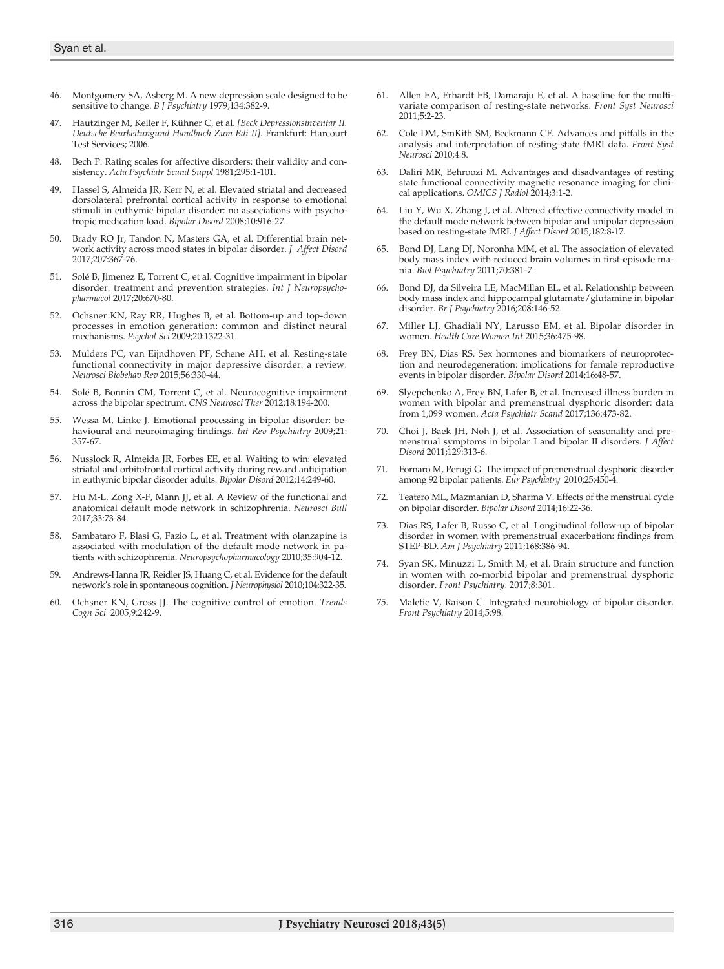- 46. Montgomery SA, Asberg M. A new depression scale designed to be sensitive to change. *B J Psychiatry* 1979;134:382-9.
- 47. Hautzinger M, Keller F, Kühner C, et al. *[Beck Depressionsinventar II. Deutsche Bearbeitungund Handbuch Zum Bdi II]*. Frankfurt: Harcourt Test Services; 2006.
- 48. Bech P. Rating scales for affective disorders: their validity and consistency. *Acta Psychiatr Scand Suppl* 1981;295:1-101.
- Hassel S, Almeida JR, Kerr N, et al. Elevated striatal and decreased dorsolateral prefrontal cortical activity in response to emotional stimuli in euthymic bipolar disorder: no associations with psychotropic medication load. *Bipolar Disord* 2008;10:916-27.
- Brady RO Jr, Tandon N, Masters GA, et al. Differential brain network activity across mood states in bipolar disorder. *J Affect Disord* 2017;207:367-76.
- 51. Solé B, Jimenez E, Torrent C, et al. Cognitive impairment in bipolar disorder: treatment and prevention strategies. *Int J Neuropsychopharmacol* 2017;20:670-80.
- 52. Ochsner KN, Ray RR, Hughes B, et al. Bottom-up and top-down processes in emotion generation: common and distinct neural mechanisms. *Psychol Sci* 2009;20:1322-31.
- 53. Mulders PC, van Eijndhoven PF, Schene AH, et al. Resting-state functional connectivity in major depressive disorder: a review. *Neurosci Biobehav Rev* 2015;56:330-44.
- 54. Solé B, Bonnin CM, Torrent C, et al. Neurocognitive impairment across the bipolar spectrum. *CNS Neurosci Ther* 2012;18:194-200.
- 55. Wessa M, Linke J. Emotional processing in bipolar disorder: behavioural and neuroimaging findings. *Int Rev Psychiatry* 2009;21: 357-67.
- 56. Nusslock R, Almeida JR, Forbes EE, et al. Waiting to win: elevated striatal and orbitofrontal cortical activity during reward anticipation in euthymic bipolar disorder adults. *Bipolar Disord* 2012;14:249-60.
- 57. Hu M-L, Zong X-F, Mann JJ, et al. A Review of the functional and anatomical default mode network in schizophrenia. *Neurosci Bull* 2017;33:73-84.
- 58. Sambataro F, Blasi G, Fazio L, et al. Treatment with olanzapine is associated with modulation of the default mode network in patients with schizophrenia. *Neuropsychopharmacology* 2010;35:904-12.
- Andrews-Hanna JR, Reidler JS, Huang C, et al. Evidence for the default network's role in spontaneous cognition. *J Neurophysiol* 2010;104:322-35.
- 60. Ochsner KN, Gross JJ. The cognitive control of emotion. *Trends Cogn Sci* 2005;9:242-9.
- 61. Allen EA, Erhardt EB, Damaraju E, et al. A baseline for the multivariate comparison of resting-state networks. *Front Syst Neurosci* 2011;5:2-23.
- 62. Cole DM, SmKith SM, Beckmann CF. Advances and pitfalls in the analysis and interpretation of resting-state fMRI data. *Front Syst Neurosci* 2010;4:8.
- 63. Daliri MR, Behroozi M. Advantages and disadvantages of resting state functional connectivity magnetic resonance imaging for clinical applications. *OMICS J Radiol* 2014;3:1-2.
- 64. Liu Y, Wu X, Zhang J, et al. Altered effective connectivity model in the default mode network between bipolar and unipolar depression based on resting-state fMRI. *J Affect Disord* 2015;182:8-17.
- 65. Bond DJ, Lang DJ, Noronha MM, et al. The association of elevated body mass index with reduced brain volumes in first-episode mania. *Biol Psychiatry* 2011;70:381-7.
- 66. Bond DJ, da Silveira LE, MacMillan EL, et al. Relationship between body mass index and hippocampal glutamate/glutamine in bipolar disorder. *Br J Psychiatry* 2016;208:146-52.
- 67. Miller LJ, Ghadiali NY, Larusso EM, et al. Bipolar disorder in women. *Health Care Women Int* 2015;36:475-98.
- 68. Frey BN, Dias RS. Sex hormones and biomarkers of neuroprotection and neurodegeneration: implications for female reproductive events in bipolar disorder. *Bipolar Disord* 2014;16:48-57.
- 69. Slyepchenko A, Frey BN, Lafer B, et al. Increased illness burden in women with bipolar and premenstrual dysphoric disorder: data from 1,099 women. *Acta Psychiatr Scand* 2017;136:473-82.
- 70. Choi J, Baek JH, Noh J, et al. Association of seasonality and premenstrual symptoms in bipolar I and bipolar II disorders. *J Affect Disord* 2011;129:313-6.
- 71. Fornaro M, Perugi G. The impact of premenstrual dysphoric disorder among 92 bipolar patients. *Eur Psychiatry* 2010;25:450-4.
- 72. Teatero ML, Mazmanian D, Sharma V. Effects of the menstrual cycle on bipolar disorder. *Bipolar Disord* 2014;16:22-36.
- 73. Dias RS, Lafer B, Russo C, et al. Longitudinal follow-up of bipolar disorder in women with premenstrual exacerbation: findings from STEP-BD. *Am J Psychiatry* 2011;168:386-94.
- 74. Syan SK, Minuzzi L, Smith M, et al. Brain structure and function in women with co-morbid bipolar and premenstrual dysphoric disorder. *Front Psychiatry*. 2017;8:301.
- 75. Maletic V, Raison C. Integrated neurobiology of bipolar disorder. *Front Psychiatry* 2014;5:98.